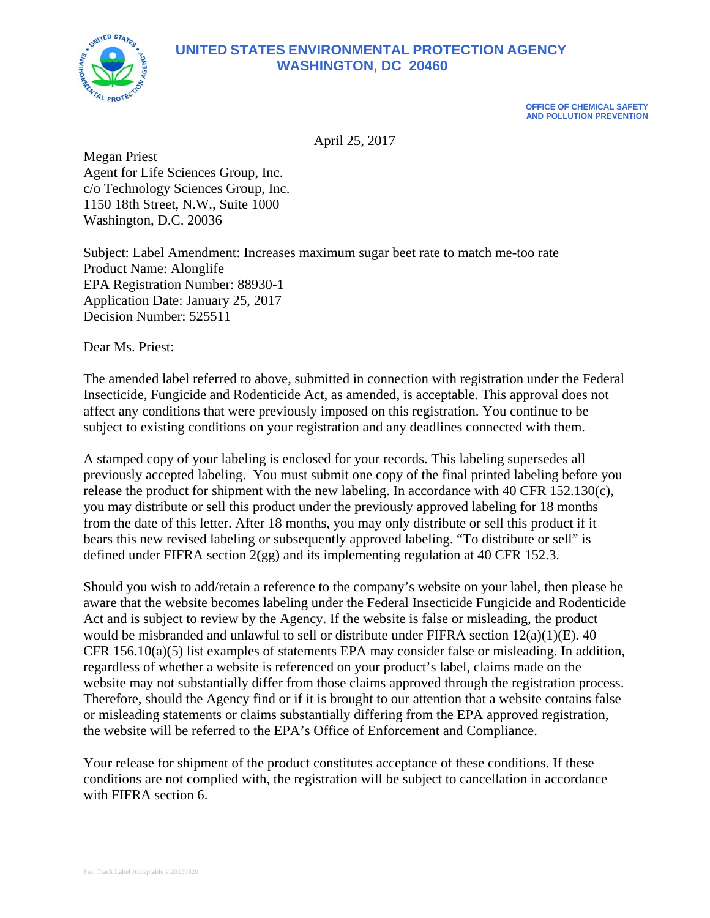

**OFFICE OF CHEMICAL SAFETY AND POLLUTION PREVENTION** 

April 25, 2017

Megan Priest Agent for Life Sciences Group, Inc. c/o Technology Sciences Group, Inc. 1150 18th Street, N.W., Suite 1000 Washington, D.C. 20036

Subject: Label Amendment: Increases maximum sugar beet rate to match me-too rate Product Name: Alonglife EPA Registration Number: 88930-1 Application Date: January 25, 2017 Decision Number: 525511

Dear Ms. Priest:

The amended label referred to above, submitted in connection with registration under the Federal Insecticide, Fungicide and Rodenticide Act, as amended, is acceptable. This approval does not affect any conditions that were previously imposed on this registration. You continue to be subject to existing conditions on your registration and any deadlines connected with them.

A stamped copy of your labeling is enclosed for your records. This labeling supersedes all previously accepted labeling. You must submit one copy of the final printed labeling before you release the product for shipment with the new labeling. In accordance with 40 CFR 152.130(c), you may distribute or sell this product under the previously approved labeling for 18 months from the date of this letter. After 18 months, you may only distribute or sell this product if it bears this new revised labeling or subsequently approved labeling. "To distribute or sell" is defined under FIFRA section 2(gg) and its implementing regulation at 40 CFR 152.3.

Should you wish to add/retain a reference to the company's website on your label, then please be aware that the website becomes labeling under the Federal Insecticide Fungicide and Rodenticide Act and is subject to review by the Agency. If the website is false or misleading, the product would be misbranded and unlawful to sell or distribute under FIFRA section 12(a)(1)(E). 40 CFR 156.10(a)(5) list examples of statements EPA may consider false or misleading. In addition, regardless of whether a website is referenced on your product's label, claims made on the website may not substantially differ from those claims approved through the registration process. Therefore, should the Agency find or if it is brought to our attention that a website contains false or misleading statements or claims substantially differing from the EPA approved registration, the website will be referred to the EPA's Office of Enforcement and Compliance.

Your release for shipment of the product constitutes acceptance of these conditions. If these conditions are not complied with, the registration will be subject to cancellation in accordance with FIFRA section 6.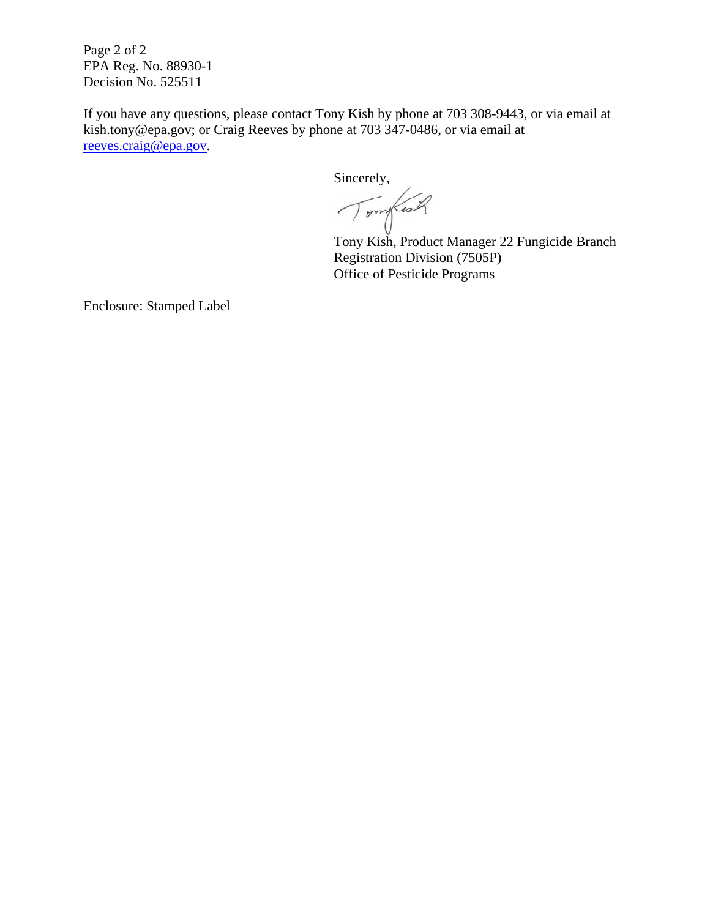Page 2 of 2 EPA Reg. No. 88930-1 Decision No. 525511

If you have any questions, please contact Tony Kish by phone at 703 308-9443, or via email at kish.tony@epa.gov; or Craig Reeves by phone at 703 347-0486, or via email at reeves.craig@epa.gov.

Sincerely,

Tomylish

Tony Kish, Product Manager 22 Fungicide Branch Registration Division (7505P) Office of Pesticide Programs

Enclosure: Stamped Label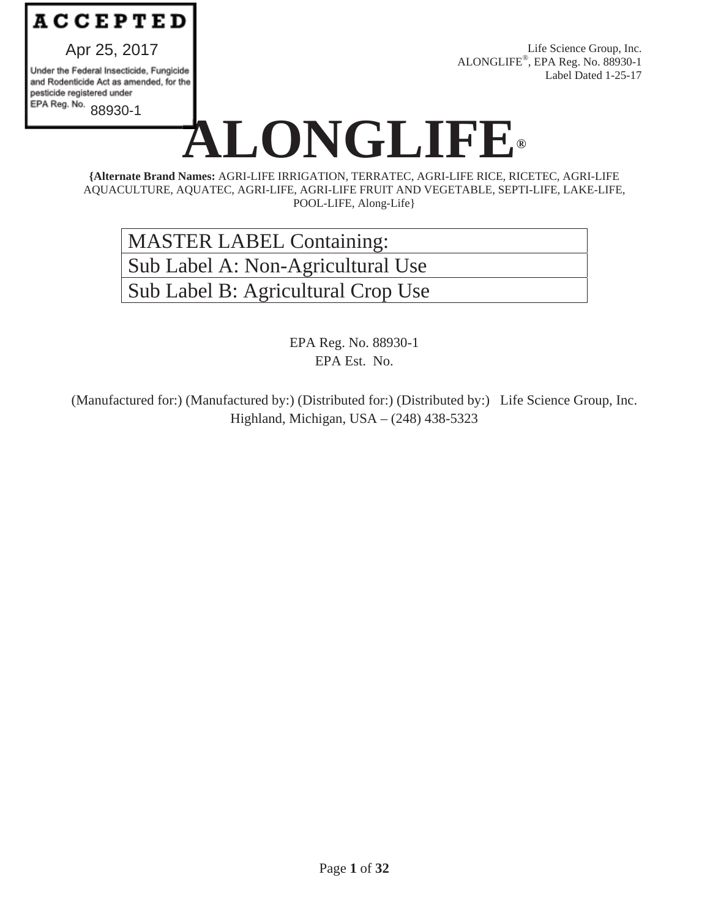

Apr 25, 2017

Under the Federal Insecticide, Fungicide and Rodenticide Act as amended, for the pesticide registered under EPA Reg. No. 88930-1

Life Science Group, Inc. ALONGLIFE®, EPA Reg. No. 88930-1 Label Dated 1-25-17

# LONGLIFE®

**{Alternate Brand Names:** AGRI-LIFE IRRIGATION, TERRATEC, AGRI-LIFE RICE, RICETEC, AGRI-LIFE AQUACULTURE, AQUATEC, AGRI-LIFE, AGRI-LIFE FRUIT AND VEGETABLE, SEPTI-LIFE, LAKE-LIFE, POOL-LIFE, Along-Life}

MASTER LABEL Containing: Sub Label A: Non-Agricultural Use Sub Label B: Agricultural Crop Use

> EPA Reg. No. 88930-1 EPA Est. No.

(Manufactured for:) (Manufactured by:) (Distributed for:) (Distributed by:) Life Science Group, Inc. Highland, Michigan, USA – (248) 438-5323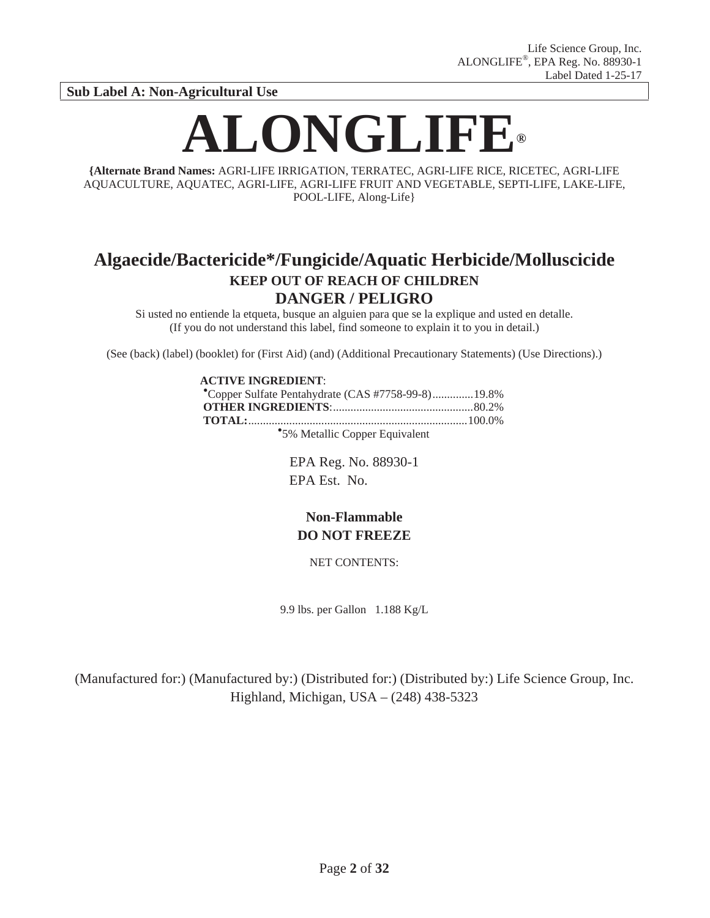**Sub Label A: Non-Agricultural Use** 

# **ALONGLIFE®**

**{Alternate Brand Names:** AGRI-LIFE IRRIGATION, TERRATEC, AGRI-LIFE RICE, RICETEC, AGRI-LIFE AQUACULTURE, AQUATEC, AGRI-LIFE, AGRI-LIFE FRUIT AND VEGETABLE, SEPTI-LIFE, LAKE-LIFE, POOL-LIFE, Along-Life}

# **Algaecide/Bactericide\*/Fungicide/Aquatic Herbicide/Molluscicide KEEP OUT OF REACH OF CHILDREN DANGER / PELIGRO**

Si usted no entiende la etqueta, busque an alguien para que se la explique and usted en detalle. (If you do not understand this label, find someone to explain it to you in detail.)

(See (back) (label) (booklet) for (First Aid) (and) (Additional Precautionary Statements) (Use Directions).)

#### **ACTIVE INGREDIENT:**

| Copper Sulfate Pentahydrate (CAS #7758-99-8) 19.8% |  |
|----------------------------------------------------|--|
|                                                    |  |
|                                                    |  |
| *5% Metallic Copper Equivalent                     |  |

EPA Reg. No. 88930-1 EPA Est. No.

## **Non-Flammable DO NOT FREEZE**

NET CONTENTS:

9.9 lbs. per Gallon 1.188 Kg/L

(Manufactured for:) (Manufactured by:) (Distributed for:) (Distributed by:) Life Science Group, Inc. Highland, Michigan, USA – (248) 438-5323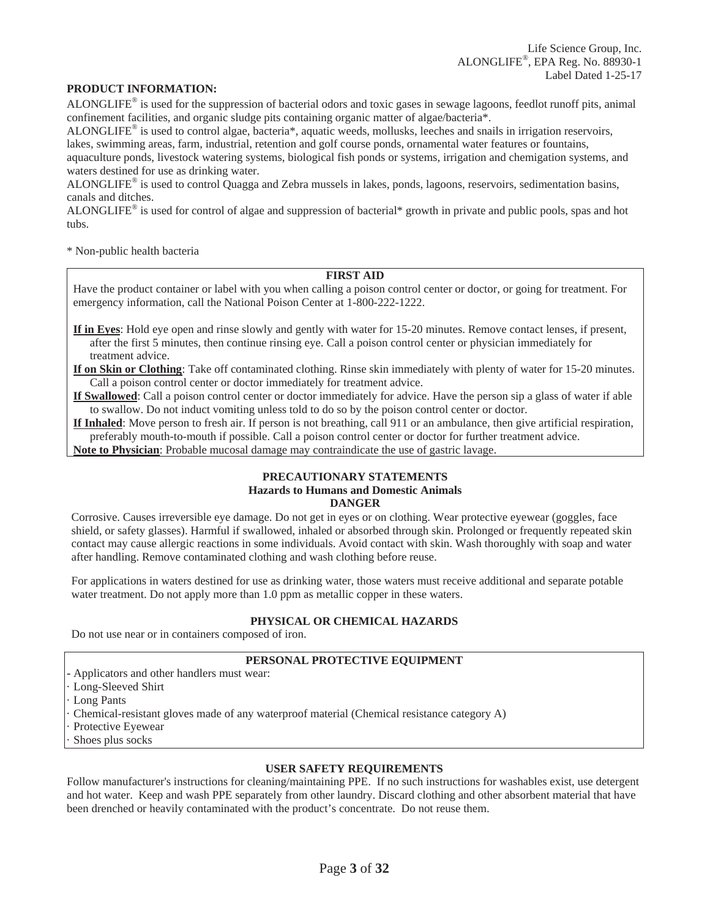#### **PRODUCT INFORMATION:**

ALONGLIFE® is used for the suppression of bacterial odors and toxic gases in sewage lagoons, feedlot runoff pits, animal confinement facilities, and organic sludge pits containing organic matter of algae/bacteria\*.

ALONGLIFE® is used to control algae, bacteria\*, aquatic weeds, mollusks, leeches and snails in irrigation reservoirs, lakes, swimming areas, farm, industrial, retention and golf course ponds, ornamental water features or fountains,

aquaculture ponds, livestock watering systems, biological fish ponds or systems, irrigation and chemigation systems, and waters destined for use as drinking water.

ALONGLIFE® is used to control Quagga and Zebra mussels in lakes, ponds, lagoons, reservoirs, sedimentation basins, canals and ditches.

ALONGLIFE<sup>®</sup> is used for control of algae and suppression of bacterial\* growth in private and public pools, spas and hot tubs.

\* Non-public health bacteria

## **FIRST AID**

Have the product container or label with you when calling a poison control center or doctor, or going for treatment. For emergency information, call the National Poison Center at 1-800-222-1222.

**If in Eyes**: Hold eye open and rinse slowly and gently with water for 15-20 minutes. Remove contact lenses, if present, after the first 5 minutes, then continue rinsing eye. Call a poison control center or physician immediately for treatment advice.

**If on Skin or Clothing**: Take off contaminated clothing. Rinse skin immediately with plenty of water for 15-20 minutes. Call a poison control center or doctor immediately for treatment advice.

**If Swallowed**: Call a poison control center or doctor immediately for advice. Have the person sip a glass of water if able to swallow. Do not induct vomiting unless told to do so by the poison control center or doctor.

**If Inhaled**: Move person to fresh air. If person is not breathing, call 911 or an ambulance, then give artificial respiration, preferably mouth-to-mouth if possible. Call a poison control center or doctor for further treatment advice.

**Note to Physician**: Probable mucosal damage may contraindicate the use of gastric lavage.

## **PRECAUTIONARY STATEMENTS Hazards to Humans and Domestic Animals DANGER**

Corrosive. Causes irreversible eye damage. Do not get in eyes or on clothing. Wear protective eyewear (goggles, face shield, or safety glasses). Harmful if swallowed, inhaled or absorbed through skin. Prolonged or frequently repeated skin contact may cause allergic reactions in some individuals. Avoid contact with skin. Wash thoroughly with soap and water after handling. Remove contaminated clothing and wash clothing before reuse.

For applications in waters destined for use as drinking water, those waters must receive additional and separate potable water treatment. Do not apply more than 1.0 ppm as metallic copper in these waters.

## **PHYSICAL OR CHEMICAL HAZARDS**

Do not use near or in containers composed of iron.

#### **PERSONAL PROTECTIVE EQUIPMENT**

**-** Applicators and other handlers must wear:

Long-Sleeved Shirt

Long Pants

· Chemical-resistant gloves made of any waterproof material (Chemical resistance category A)

Protective Eyewear

Shoes plus socks

#### **USER SAFETY REQUIREMENTS**

Follow manufacturer's instructions for cleaning/maintaining PPE. If no such instructions for washables exist, use detergent and hot water. Keep and wash PPE separately from other laundry. Discard clothing and other absorbent material that have been drenched or heavily contaminated with the product's concentrate. Do not reuse them.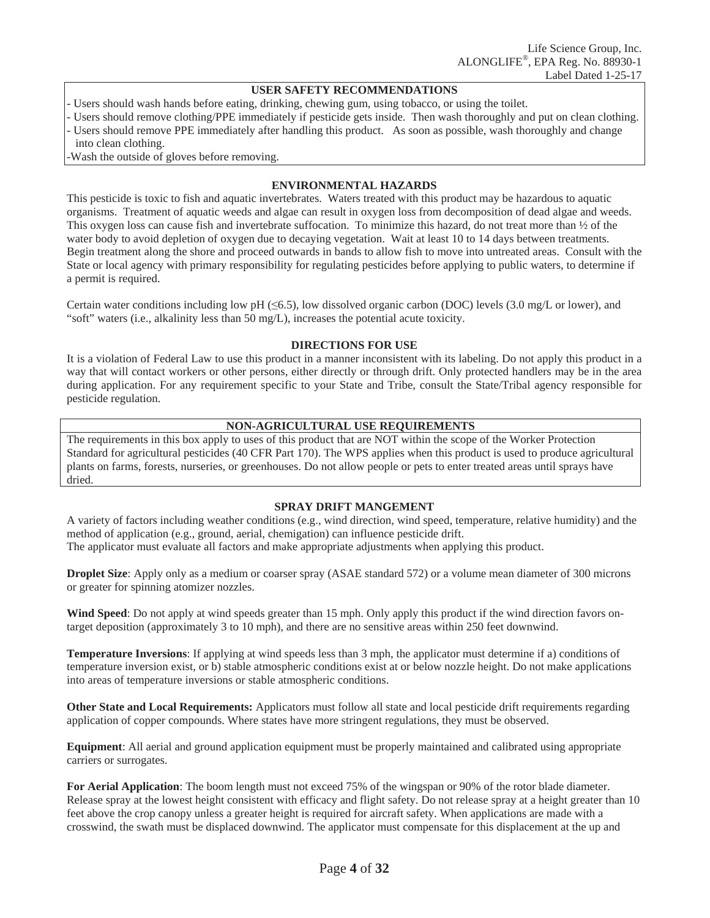#### **USER SAFETY RECOMMENDATIONS**

- Users should wash hands before eating, drinking, chewing gum, using tobacco, or using the toilet.
- Users should remove clothing/PPE immediately if pesticide gets inside. Then wash thoroughly and put on clean clothing.
- Users should remove PPE immediately after handling this product. As soon as possible, wash thoroughly and change into clean clothing.
- Wash the outside of gloves before removing.

## **ENVIRONMENTAL HAZARDS**

This pesticide is toxic to fish and aquatic invertebrates. Waters treated with this product may be hazardous to aquatic organisms. Treatment of aquatic weeds and algae can result in oxygen loss from decomposition of dead algae and weeds. This oxygen loss can cause fish and invertebrate suffocation. To minimize this hazard, do not treat more than  $\frac{1}{2}$  of the water body to avoid depletion of oxygen due to decaying vegetation. Wait at least 10 to 14 days between treatments. Begin treatment along the shore and proceed outwards in bands to allow fish to move into untreated areas. Consult with the State or local agency with primary responsibility for regulating pesticides before applying to public waters, to determine if a permit is required.

Certain water conditions including low pH ( $\leq 6.5$ ), low dissolved organic carbon (DOC) levels (3.0 mg/L or lower), and "soft" waters (i.e., alkalinity less than 50 mg/L), increases the potential acute toxicity.

#### **DIRECTIONS FOR USE**

It is a violation of Federal Law to use this product in a manner inconsistent with its labeling. Do not apply this product in a way that will contact workers or other persons, either directly or through drift. Only protected handlers may be in the area during application. For any requirement specific to your State and Tribe, consult the State/Tribal agency responsible for pesticide regulation.

## **NON-AGRICULTURAL USE REQUIREMENTS**

The requirements in this box apply to uses of this product that are NOT within the scope of the Worker Protection Standard for agricultural pesticides (40 CFR Part 170). The WPS applies when this product is used to produce agricultural plants on farms, forests, nurseries, or greenhouses. Do not allow people or pets to enter treated areas until sprays have dried.

## **SPRAY DRIFT MANGEMENT**

A variety of factors including weather conditions (e.g., wind direction, wind speed, temperature, relative humidity) and the method of application (e.g., ground, aerial, chemigation) can influence pesticide drift.

The applicator must evaluate all factors and make appropriate adjustments when applying this product.

**Droplet Size**: Apply only as a medium or coarser spray (ASAE standard 572) or a volume mean diameter of 300 microns or greater for spinning atomizer nozzles.

**Wind Speed**: Do not apply at wind speeds greater than 15 mph. Only apply this product if the wind direction favors ontarget deposition (approximately 3 to 10 mph), and there are no sensitive areas within 250 feet downwind.

**Temperature Inversions**: If applying at wind speeds less than 3 mph, the applicator must determine if a) conditions of temperature inversion exist, or b) stable atmospheric conditions exist at or below nozzle height. Do not make applications into areas of temperature inversions or stable atmospheric conditions.

**Other State and Local Requirements:** Applicators must follow all state and local pesticide drift requirements regarding application of copper compounds. Where states have more stringent regulations, they must be observed.

**Equipment**: All aerial and ground application equipment must be properly maintained and calibrated using appropriate carriers or surrogates.

**For Aerial Application**: The boom length must not exceed 75% of the wingspan or 90% of the rotor blade diameter. Release spray at the lowest height consistent with efficacy and flight safety. Do not release spray at a height greater than 10 feet above the crop canopy unless a greater height is required for aircraft safety. When applications are made with a crosswind, the swath must be displaced downwind. The applicator must compensate for this displacement at the up and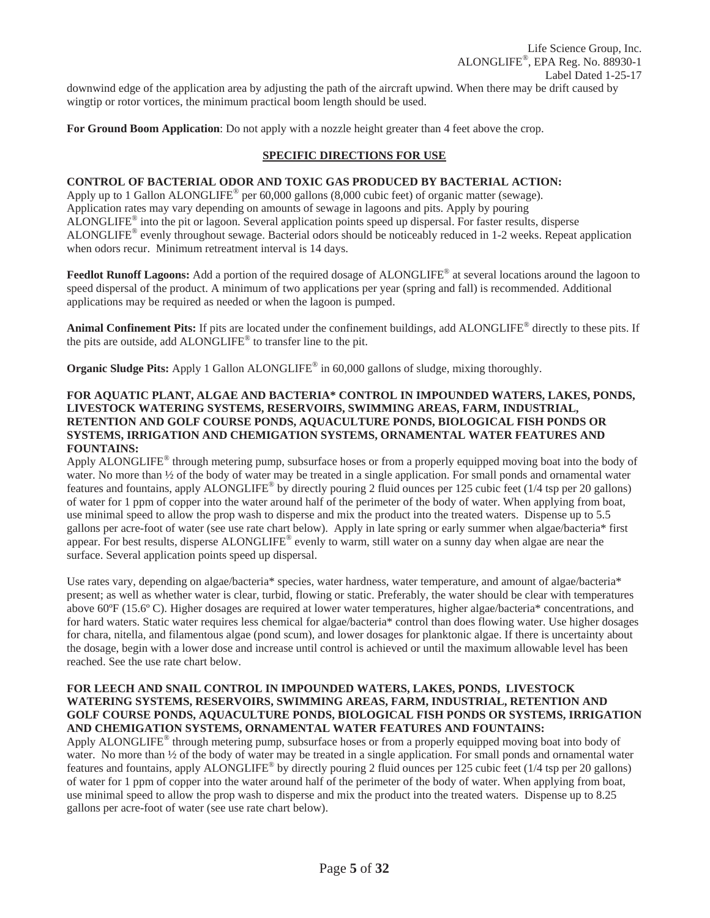**For Ground Boom Application**: Do not apply with a nozzle height greater than 4 feet above the crop.

## **SPECIFIC DIRECTIONS FOR USE**

## **CONTROL OF BACTERIAL ODOR AND TOXIC GAS PRODUCED BY BACTERIAL ACTION:**

Apply up to 1 Gallon ALONGLIFE<sup>®</sup> per 60,000 gallons (8,000 cubic feet) of organic matter (sewage). Application rates may vary depending on amounts of sewage in lagoons and pits. Apply by pouring ALONGLIFE® into the pit or lagoon. Several application points speed up dispersal. For faster results, disperse ALONGLIFE® evenly throughout sewage. Bacterial odors should be noticeably reduced in 1-2 weeks. Repeat application when odors recur. Minimum retreatment interval is 14 days.

**Feedlot Runoff Lagoons:** Add a portion of the required dosage of ALONGLIFE<sup>®</sup> at several locations around the lagoon to speed dispersal of the product. A minimum of two applications per year (spring and fall) is recommended. Additional applications may be required as needed or when the lagoon is pumped.

**Animal Confinement Pits:** If pits are located under the confinement buildings, add ALONGLIFE® directly to these pits. If the pits are outside, add ALONGLIFE® to transfer line to the pit.

**Organic Sludge Pits:** Apply 1 Gallon ALONGLIFE<sup>®</sup> in 60,000 gallons of sludge, mixing thoroughly.

## **FOR AQUATIC PLANT, ALGAE AND BACTERIA\* CONTROL IN IMPOUNDED WATERS, LAKES, PONDS, LIVESTOCK WATERING SYSTEMS, RESERVOIRS, SWIMMING AREAS, FARM, INDUSTRIAL, RETENTION AND GOLF COURSE PONDS, AQUACULTURE PONDS, BIOLOGICAL FISH PONDS OR SYSTEMS, IRRIGATION AND CHEMIGATION SYSTEMS, ORNAMENTAL WATER FEATURES AND FOUNTAINS:**

Apply ALONGLIFE<sup>®</sup> through metering pump, subsurface hoses or from a properly equipped moving boat into the body of water. No more than  $\frac{1}{2}$  of the body of water may be treated in a single application. For small ponds and ornamental water features and fountains, apply ALONGLIFE<sup>®</sup> by directly pouring 2 fluid ounces per 125 cubic feet ( $1/4$  tsp per 20 gallons) of water for 1 ppm of copper into the water around half of the perimeter of the body of water. When applying from boat, use minimal speed to allow the prop wash to disperse and mix the product into the treated waters. Dispense up to 5.5 gallons per acre-foot of water (see use rate chart below). Apply in late spring or early summer when algae/bacteria\* first appear. For best results, disperse ALONGLIFE<sup>®</sup> evenly to warm, still water on a sunny day when algae are near the surface. Several application points speed up dispersal.

Use rates vary, depending on algae/bacteria\* species, water hardness, water temperature, and amount of algae/bacteria\* present; as well as whether water is clear, turbid, flowing or static. Preferably, the water should be clear with temperatures above 60ºF (15.6º C). Higher dosages are required at lower water temperatures, higher algae/bacteria\* concentrations, and for hard waters. Static water requires less chemical for algae/bacteria\* control than does flowing water. Use higher dosages for chara, nitella, and filamentous algae (pond scum), and lower dosages for planktonic algae. If there is uncertainty about the dosage, begin with a lower dose and increase until control is achieved or until the maximum allowable level has been reached. See the use rate chart below.

## **FOR LEECH AND SNAIL CONTROL IN IMPOUNDED WATERS, LAKES, PONDS, LIVESTOCK WATERING SYSTEMS, RESERVOIRS, SWIMMING AREAS, FARM, INDUSTRIAL, RETENTION AND GOLF COURSE PONDS, AQUACULTURE PONDS, BIOLOGICAL FISH PONDS OR SYSTEMS, IRRIGATION AND CHEMIGATION SYSTEMS, ORNAMENTAL WATER FEATURES AND FOUNTAINS:**

Apply ALONGLIFE® through metering pump, subsurface hoses or from a properly equipped moving boat into body of water. No more than  $\frac{1}{2}$  of the body of water may be treated in a single application. For small ponds and ornamental water features and fountains, apply ALONGLIFE<sup>®</sup> by directly pouring 2 fluid ounces per 125 cubic feet (1/4 tsp per 20 gallons) of water for 1 ppm of copper into the water around half of the perimeter of the body of water. When applying from boat, use minimal speed to allow the prop wash to disperse and mix the product into the treated waters. Dispense up to 8.25 gallons per acre-foot of water (see use rate chart below).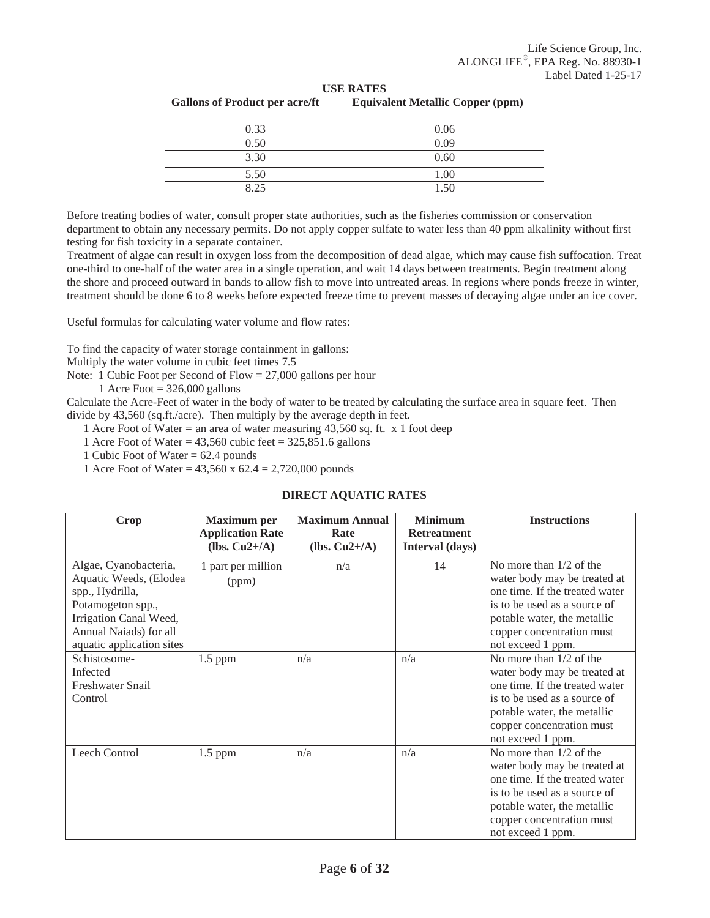| <b>Gallons of Product per acre/ft</b> | <b>Equivalent Metallic Copper (ppm)</b> |
|---------------------------------------|-----------------------------------------|
| 0.33                                  | 0.06                                    |
| 0.50                                  | 0.09                                    |
| 3.30                                  | 0.60                                    |
| 5.50                                  | 1.00                                    |
| 8.25                                  | 1.50                                    |

**USE RATES** 

Before treating bodies of water, consult proper state authorities, such as the fisheries commission or conservation department to obtain any necessary permits. Do not apply copper sulfate to water less than 40 ppm alkalinity without first testing for fish toxicity in a separate container.

Treatment of algae can result in oxygen loss from the decomposition of dead algae, which may cause fish suffocation. Treat one-third to one-half of the water area in a single operation, and wait 14 days between treatments. Begin treatment along the shore and proceed outward in bands to allow fish to move into untreated areas. In regions where ponds freeze in winter, treatment should be done 6 to 8 weeks before expected freeze time to prevent masses of decaying algae under an ice cover.

Useful formulas for calculating water volume and flow rates:

To find the capacity of water storage containment in gallons:

Multiply the water volume in cubic feet times 7.5

Note: 1 Cubic Foot per Second of Flow = 27,000 gallons per hour

1 Acre Foot =  $326,000$  gallons

Calculate the Acre-Feet of water in the body of water to be treated by calculating the surface area in square feet. Then divide by 43,560 (sq.ft./acre). Then multiply by the average depth in feet.

1 Acre Foot of Water = an area of water measuring 43,560 sq. ft. x 1 foot deep

1 Acre Foot of Water =  $43,560$  cubic feet =  $325,851.6$  gallons

1 Cubic Foot of Water = 62.4 pounds

1 Acre Foot of Water = 43,560 x 62.4 = 2,720,000 pounds

## **DIRECT AQUATIC RATES**

| Crop                                                                                                                                                                     | <b>Maximum</b> per<br><b>Application Rate</b><br>(lbs. $Cu2+/A$ ) | <b>Maximum Annual</b><br>Rate<br>(lbs. $Cu2+/A$ ) | <b>Minimum</b><br><b>Retreatment</b><br>Interval (days) | <b>Instructions</b>                                                                                                                                                                                          |
|--------------------------------------------------------------------------------------------------------------------------------------------------------------------------|-------------------------------------------------------------------|---------------------------------------------------|---------------------------------------------------------|--------------------------------------------------------------------------------------------------------------------------------------------------------------------------------------------------------------|
| Algae, Cyanobacteria,<br>Aquatic Weeds, (Elodea<br>spp., Hydrilla,<br>Potamogeton spp.,<br>Irrigation Canal Weed,<br>Annual Naiads) for all<br>aquatic application sites | 1 part per million<br>(ppm)                                       | n/a                                               | 14                                                      | No more than $1/2$ of the<br>water body may be treated at<br>one time. If the treated water<br>is to be used as a source of<br>potable water, the metallic<br>copper concentration must<br>not exceed 1 ppm. |
| Schistosome-<br>Infected<br>Freshwater Snail<br>Control                                                                                                                  | $1.5$ ppm                                                         | n/a                                               | n/a                                                     | No more than $1/2$ of the<br>water body may be treated at<br>one time. If the treated water<br>is to be used as a source of<br>potable water, the metallic<br>copper concentration must<br>not exceed 1 ppm. |
| Leech Control                                                                                                                                                            | $1.5$ ppm                                                         | n/a                                               | n/a                                                     | No more than $1/2$ of the<br>water body may be treated at<br>one time. If the treated water<br>is to be used as a source of<br>potable water, the metallic<br>copper concentration must<br>not exceed 1 ppm. |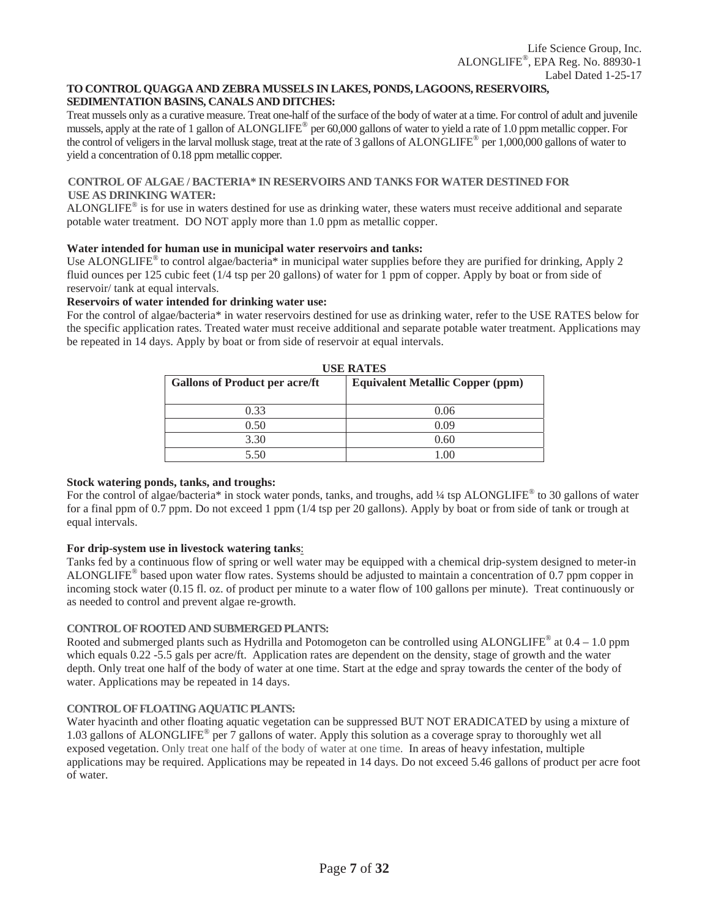#### **TO CONTROL QUAGGA AND ZEBRA MUSSELS IN LAKES, PONDS, LAGOONS, RESERVOIRS, SEDIMENTATION BASINS, CANALS AND DITCHES:**

Treat mussels only as a curative measure. Treat one-half of the surface of the body of water at a time. For control of adult and juvenile mussels, apply at the rate of 1 gallon of ALONGLIFE® per 60,000 gallons of water to yield a rate of 1.0 ppm metallic copper. For the control of veligers in the larval mollusk stage, treat at the rate of 3 gallons of ALONGLIFE® per 1,000,000 gallons of water to yield a concentration of 0.18 ppm metallic copper.

## **CONTROL OF ALGAE / BACTERIA\* IN RESERVOIRS AND TANKS FOR WATER DESTINED FOR USE AS DRINKING WATER:**

ALONGLIFE<sup>®</sup> is for use in waters destined for use as drinking water, these waters must receive additional and separate potable water treatment. DO NOT apply more than 1.0 ppm as metallic copper.

## **Water intended for human use in municipal water reservoirs and tanks:**

Use ALONGLIFE<sup>®</sup> to control algae/bacteria<sup>\*</sup> in municipal water supplies before they are purified for drinking, Apply 2 fluid ounces per 125 cubic feet (1/4 tsp per 20 gallons) of water for 1 ppm of copper. Apply by boat or from side of reservoir/ tank at equal intervals.

#### **Reservoirs of water intended for drinking water use:**

For the control of algae/bacteria\* in water reservoirs destined for use as drinking water, refer to the USE RATES below for the specific application rates. Treated water must receive additional and separate potable water treatment. Applications may be repeated in 14 days. Apply by boat or from side of reservoir at equal intervals.

| <b>USE RATES</b>                      |                                         |  |  |  |  |
|---------------------------------------|-----------------------------------------|--|--|--|--|
| <b>Gallons of Product per acre/ft</b> | <b>Equivalent Metallic Copper (ppm)</b> |  |  |  |  |
|                                       |                                         |  |  |  |  |
| 0.33                                  | 0.06                                    |  |  |  |  |
| 0.50                                  | 0.09                                    |  |  |  |  |
| 3.30                                  | 0.60                                    |  |  |  |  |
| 5.50                                  | 1.00                                    |  |  |  |  |

## **Stock watering ponds, tanks, and troughs:**

For the control of algae/bacteria\* in stock water ponds, tanks, and troughs, add ¼ tsp ALONGLIFE<sup>®</sup> to 30 gallons of water for a final ppm of 0.7 ppm. Do not exceed 1 ppm (1/4 tsp per 20 gallons). Apply by boat or from side of tank or trough at equal intervals.

## **For drip-system use in livestock watering tanks**:

Tanks fed by a continuous flow of spring or well water may be equipped with a chemical drip-system designed to meter-in ALONGLIFE® based upon water flow rates. Systems should be adjusted to maintain a concentration of 0.7 ppm copper in incoming stock water (0.15 fl. oz. of product per minute to a water flow of 100 gallons per minute). Treat continuously or as needed to control and prevent algae re-growth.

## **CONTROL OF ROOTED AND SUBMERGED PLANTS:**

Rooted and submerged plants such as Hydrilla and Potomogeton can be controlled using ALONGLIFE<sup>®</sup> at  $0.4 - 1.0$  ppm which equals 0.22 -5.5 gals per acre/ft. Application rates are dependent on the density, stage of growth and the water depth. Only treat one half of the body of water at one time. Start at the edge and spray towards the center of the body of water. Applications may be repeated in 14 days.

## **CONTROL OF FLOATING AQUATIC PLANTS:**

Water hyacinth and other floating aquatic vegetation can be suppressed BUT NOT ERADICATED by using a mixture of 1.03 gallons of ALONGLIFE® per 7 gallons of water. Apply this solution as a coverage spray to thoroughly wet all exposed vegetation. Only treat one half of the body of water at one time. In areas of heavy infestation, multiple applications may be required. Applications may be repeated in 14 days. Do not exceed 5.46 gallons of product per acre foot of water.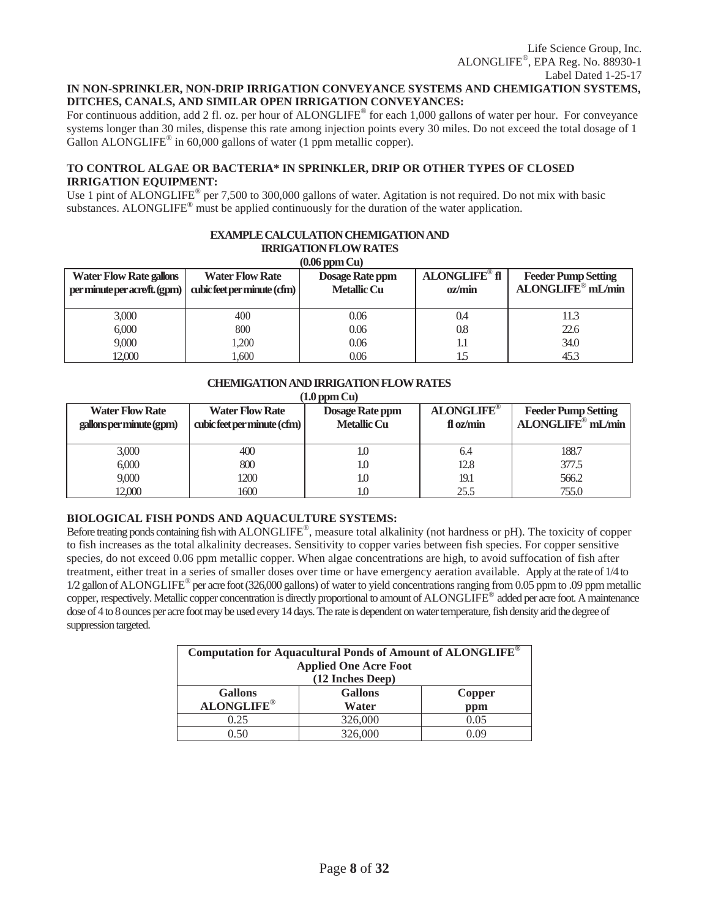## **IN NON-SPRINKLER, NON-DRIP IRRIGATION CONVEYANCE SYSTEMS AND CHEMIGATION SYSTEMS, DITCHES, CANALS, AND SIMILAR OPEN IRRIGATION CONVEYANCES:**

For continuous addition, add 2 fl. oz. per hour of ALONGLIFE<sup>®</sup> for each 1,000 gallons of water per hour. For conveyance systems longer than 30 miles, dispense this rate among injection points every 30 miles. Do not exceed the total dosage of 1 Gallon ALONGLIFE<sup>®</sup> in 60,000 gallons of water (1 ppm metallic copper).

## **TO CONTROL ALGAE OR BACTERIA\* IN SPRINKLER, DRIP OR OTHER TYPES OF CLOSED IRRIGATION EQUIPMENT:**

Use 1 pint of ALONGLIFE<sup>®</sup> per 7,500 to 300,000 gallons of water. Agitation is not required. Do not mix with basic substances. ALONGLIFE<sup>®</sup> must be applied continuously for the duration of the water application.

**EXAMPLE CALCULATION CHEMIGATION AND** 

| <b>IRRIGATION FLOW RATES</b>                                                                                                             |                             |                    |        |                               |  |  |  |
|------------------------------------------------------------------------------------------------------------------------------------------|-----------------------------|--------------------|--------|-------------------------------|--|--|--|
|                                                                                                                                          |                             | $(0.06$ ppm $Cu)$  |        |                               |  |  |  |
| <b>ALONGLIFE®</b> fl<br><b>Dosage Rate ppm</b><br><b>Feeder Pump Setting</b><br><b>Water Flow Rate gallons</b><br><b>Water Flow Rate</b> |                             |                    |        |                               |  |  |  |
| per minute per acre/ft. (gpm)                                                                                                            | cubic feet per minute (cfm) | <b>Metallic Cu</b> | oz/min | ALONGLIFE <sup>®</sup> mL/min |  |  |  |
|                                                                                                                                          |                             |                    |        |                               |  |  |  |
| 3,000                                                                                                                                    | 400                         | 0.06               | 0.4    | 11.3                          |  |  |  |
| 6,000                                                                                                                                    | 800                         | 0.06               | 0.8    | 22.6                          |  |  |  |
| 9,000                                                                                                                                    | 1.200                       | 0.06               | 1.1    | 34.0                          |  |  |  |
| 12.000                                                                                                                                   | .600                        | 0.06               | 1.5    | 45.3                          |  |  |  |

# **CHEMIGATION AND IRRIGATION FLOW RATES**

**(1.0 ppm Cu)**

| <b>Water Flow Rate</b><br>gallons per minute (gpm) | <b>Water Flow Rate</b><br>cubic feet per minute (cfm) | Dosage Rate ppm<br><b>Metallic Cu</b> | <b>ALONGLIFE®</b><br>fl oz/min | <b>Feeder Pump Setting</b><br>ALONGLIFE <sup>®</sup> mL/min |
|----------------------------------------------------|-------------------------------------------------------|---------------------------------------|--------------------------------|-------------------------------------------------------------|
| 3,000                                              | 400                                                   | LO.                                   | 6.4                            | 188.7                                                       |
| 6,000                                              | 800                                                   | 1.O                                   | 12.8                           | 377.5                                                       |
| 9,000                                              | 1200                                                  | 1.O                                   | 19.1                           | 566.2                                                       |
| 12,000                                             | 1600                                                  |                                       | 25.5                           | 755.0                                                       |

## **BIOLOGICAL FISH PONDS AND AQUACULTURE SYSTEMS:**

Before treating ponds containing fish with ALONGLIFE®, measure total alkalinity (not hardness or pH). The toxicity of copper to fish increases as the total alkalinity decreases. Sensitivity to copper varies between fish species. For copper sensitive species, do not exceed 0.06 ppm metallic copper. When algae concentrations are high, to avoid suffocation of fish after treatment, either treat in a series of smaller doses over time or have emergency aeration available. Apply at the rate of 1/4 to  $1/2$  gallon of ALONGLIFE<sup>®</sup> per acre foot (326,000 gallons) of water to yield concentrations ranging from 0.05 ppm to .09 ppm metallic copper, respectively. Metallic copper concentration is directly proportional to amount of ALONGLIFE® added per acre foot. A maintenance dose of 4 to 8 ounces per acre foot may be used every 14 days. The rate is dependent on water temperature, fish density arid the degree of suppression targeted.

| Computation for Aquacultural Ponds of Amount of ALONGLIFE®<br><b>Applied One Acre Foot</b><br>(12 Inches Deep) |                                          |      |  |  |  |  |
|----------------------------------------------------------------------------------------------------------------|------------------------------------------|------|--|--|--|--|
| <b>Gallons</b><br><b>ALONGLIFE®</b>                                                                            | <b>Gallons</b><br>Copper<br>Water<br>ppm |      |  |  |  |  |
| 0.25                                                                                                           | 326,000                                  | 0.05 |  |  |  |  |
| า รถ                                                                                                           | 326,000                                  | ng   |  |  |  |  |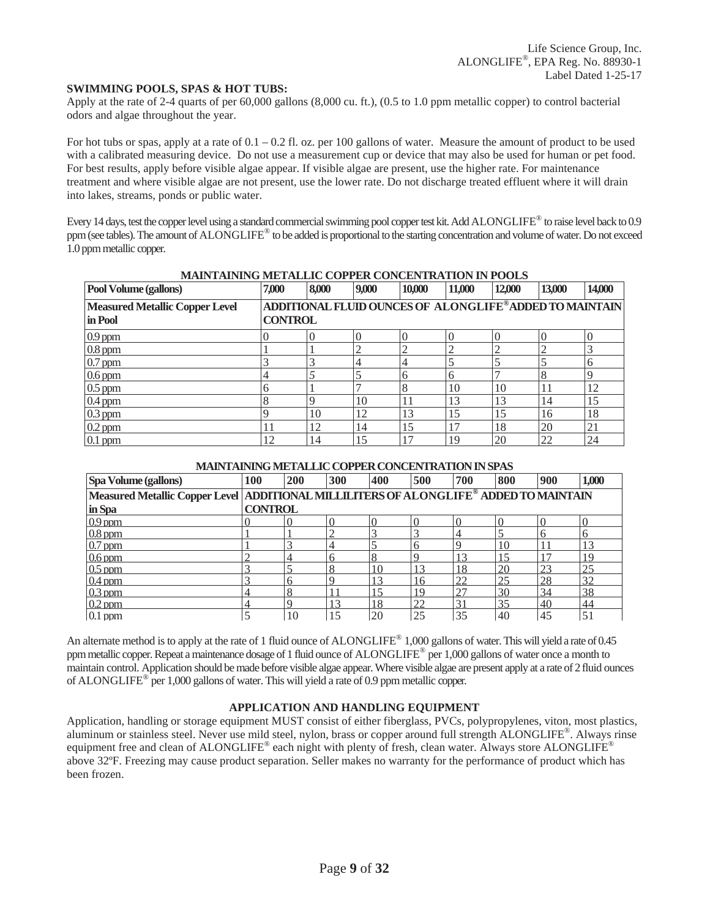#### **SWIMMING POOLS, SPAS & HOT TUBS:**

Apply at the rate of 2-4 quarts of per 60,000 gallons (8,000 cu. ft.), (0.5 to 1.0 ppm metallic copper) to control bacterial odors and algae throughout the year.

For hot tubs or spas, apply at a rate of  $0.1 - 0.2$  fl. oz. per 100 gallons of water. Measure the amount of product to be used with a calibrated measuring device. Do not use a measurement cup or device that may also be used for human or pet food. For best results, apply before visible algae appear. If visible algae are present, use the higher rate. For maintenance treatment and where visible algae are not present, use the lower rate. Do not discharge treated effluent where it will drain into lakes, streams, ponds or public water.

Every 14 days, test the copper level using a standard commercial swimming pool copper test kit. Add ALONGLIFE<sup>®</sup> to raise level back to 0.9 ppm (see tables). The amount of ALONGLIFE® to be added is proportional to the starting concentration and volume of water. Do not exceed 1.0 ppm metallic copper.

| <u>MARIA HARAKU MEHAREKE COH ER CONCENTINATION IN LOOD.</u><br>Pool Volume (gallons) | 7,000          | 8,000                                                  | 9,000 | 10,000 | 11,000       | 12,000 | 13,000 | 14,000 |
|--------------------------------------------------------------------------------------|----------------|--------------------------------------------------------|-------|--------|--------------|--------|--------|--------|
| <b>Measured Metallic Copper Level</b>                                                |                | ADDITIONAL FLUID OUNCES OF ALONGLIFE®ADDED TO MAINTAIN |       |        |              |        |        |        |
| in Pool                                                                              | <b>CONTROL</b> |                                                        |       |        |              |        |        |        |
| $0.9$ ppm                                                                            |                |                                                        |       |        |              |        |        |        |
| $0.8$ ppm                                                                            |                |                                                        |       | ി      |              |        |        |        |
| $0.7$ ppm                                                                            |                |                                                        |       | 4      |              |        |        |        |
| $0.6$ ppm                                                                            |                |                                                        |       | 6      | <sub>(</sub> |        |        |        |
| $0.5$ ppm                                                                            |                |                                                        |       | 8      | 10           | 10     | 11     | 12     |
| $0.4$ ppm                                                                            |                |                                                        | 10    |        | 13           | 13     | 14     | 15     |
| $0.3$ ppm                                                                            |                | 10                                                     | 12    | 13     | 15           | 15     | 16     | 18     |
| $0.2$ ppm                                                                            |                | 12                                                     | 14    | 15     |              | 18     | 20     | 21     |
| $0.1$ ppm                                                                            | 12             | 14                                                     | 15    |        | 19           | 20     | 22     | 24     |

## **MAINTAINING METALLIC COPPER CONCENTRATION IN POOLS**

#### **MAINTAINING METALLIC COPPER CONCENTRATION IN SPAS**

| Spa Volume (gallons)                                                                  | 100            | 200 | 300 | 400            | 500 | 700 | 800 | 900 | 1,000       |
|---------------------------------------------------------------------------------------|----------------|-----|-----|----------------|-----|-----|-----|-----|-------------|
| Measured Metallic Copper Level ADDITIONAL MILLILITERS OF ALONGLIFE® ADDED TO MAINTAIN |                |     |     |                |     |     |     |     |             |
| in Spa                                                                                | <b>CONTROL</b> |     |     |                |     |     |     |     |             |
| $0.9$ ppm                                                                             |                |     |     |                |     |     |     |     |             |
| $0.8$ ppm                                                                             |                |     | ◠   |                |     |     |     |     |             |
| $0.7$ ppm                                                                             |                |     |     |                |     |     | 10  |     |             |
| $0.6$ ppm                                                                             |                |     | 6   | 8              |     |     |     |     | 1 G         |
| $0.5$ ppm                                                                             |                |     | 8   | 10             |     | 18  | 20  | 23  | 25          |
| $0.4$ ppm                                                                             |                |     | Q   |                | 16  | 22  | 25  | 28  | 32          |
| $0.3$ ppm                                                                             | 4              |     |     |                | 19  | 27  | 30  | 34  | 38          |
| $0.2$ ppm                                                                             | 4              |     | 13  | 18             | 22  | 31  | 35  | 40  | 44          |
| $0.1$ ppm                                                                             |                | 10  |     | 2 <sup>c</sup> | 25  | 35  | 40  | 45  | $5^{\circ}$ |

An alternate method is to apply at the rate of 1 fluid ounce of ALONGLIFE<sup>®</sup> 1,000 gallons of water. This will yield a rate of 0.45 ppm metallic copper. Repeat a maintenance dosage of 1 fluid ounce of ALONGLIFE® per 1,000 gallons of water once a month to maintain control. Application should be made before visible algae appear. Where visible algae are present apply at a rate of 2 fluid ounces of ALONGLIFE® per 1,000 gallons of water. This will yield a rate of 0.9 ppm metallic copper.

## **APPLICATION AND HANDLING EQUIPMENT**

Application, handling or storage equipment MUST consist of either fiberglass, PVCs, polypropylenes, viton, most plastics, aluminum or stainless steel. Never use mild steel, nylon, brass or copper around full strength ALONGLIFE®. Always rinse equipment free and clean of ALONGLIFE® each night with plenty of fresh, clean water. Always store ALONGLIFE® above 32ºF. Freezing may cause product separation. Seller makes no warranty for the performance of product which has been frozen.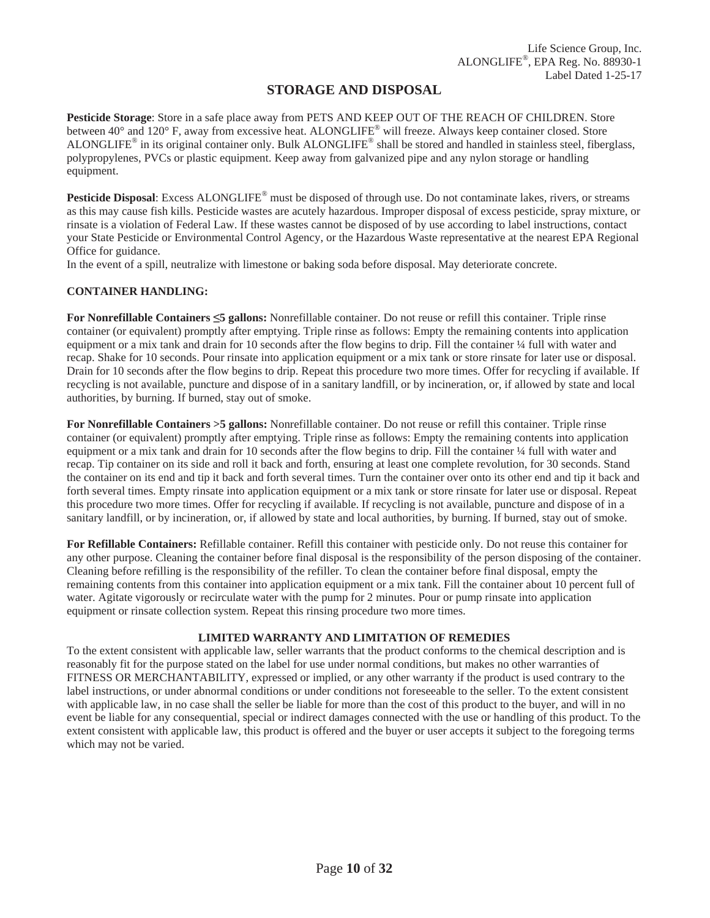## **STORAGE AND DISPOSAL**

**Pesticide Storage**: Store in a safe place away from PETS AND KEEP OUT OF THE REACH OF CHILDREN. Store between 40° and 120° F, away from excessive heat. ALONGLIFE® will freeze. Always keep container closed. Store ALONGLIFE<sup>®</sup> in its original container only. Bulk ALONGLIFE<sup>®</sup> shall be stored and handled in stainless steel, fiberglass, polypropylenes, PVCs or plastic equipment. Keep away from galvanized pipe and any nylon storage or handling equipment.

**Pesticide Disposal**: Excess ALONGLIFE® must be disposed of through use. Do not contaminate lakes, rivers, or streams as this may cause fish kills. Pesticide wastes are acutely hazardous. Improper disposal of excess pesticide, spray mixture, or rinsate is a violation of Federal Law. If these wastes cannot be disposed of by use according to label instructions, contact your State Pesticide or Environmental Control Agency, or the Hazardous Waste representative at the nearest EPA Regional Office for guidance.

In the event of a spill, neutralize with limestone or baking soda before disposal. May deteriorate concrete.

## **CONTAINER HANDLING:**

**For Nonrefillable Containers 5 gallons:** Nonrefillable container. Do not reuse or refill this container. Triple rinse container (or equivalent) promptly after emptying. Triple rinse as follows: Empty the remaining contents into application equipment or a mix tank and drain for 10 seconds after the flow begins to drip. Fill the container 1/4 full with water and recap. Shake for 10 seconds. Pour rinsate into application equipment or a mix tank or store rinsate for later use or disposal. Drain for 10 seconds after the flow begins to drip. Repeat this procedure two more times. Offer for recycling if available. If recycling is not available, puncture and dispose of in a sanitary landfill, or by incineration, or, if allowed by state and local authorities, by burning. If burned, stay out of smoke.

**For Nonrefillable Containers >5 gallons:** Nonrefillable container. Do not reuse or refill this container. Triple rinse container (or equivalent) promptly after emptying. Triple rinse as follows: Empty the remaining contents into application equipment or a mix tank and drain for 10 seconds after the flow begins to drip. Fill the container 1/4 full with water and recap. Tip container on its side and roll it back and forth, ensuring at least one complete revolution, for 30 seconds. Stand the container on its end and tip it back and forth several times. Turn the container over onto its other end and tip it back and forth several times. Empty rinsate into application equipment or a mix tank or store rinsate for later use or disposal. Repeat this procedure two more times. Offer for recycling if available. If recycling is not available, puncture and dispose of in a sanitary landfill, or by incineration, or, if allowed by state and local authorities, by burning. If burned, stay out of smoke.

**For Refillable Containers:** Refillable container. Refill this container with pesticide only. Do not reuse this container for any other purpose. Cleaning the container before final disposal is the responsibility of the person disposing of the container. Cleaning before refilling is the responsibility of the refiller. To clean the container before final disposal, empty the remaining contents from this container into application equipment or a mix tank. Fill the container about 10 percent full of water. Agitate vigorously or recirculate water with the pump for 2 minutes. Pour or pump rinsate into application equipment or rinsate collection system. Repeat this rinsing procedure two more times.

## **LIMITED WARRANTY AND LIMITATION OF REMEDIES**

To the extent consistent with applicable law, seller warrants that the product conforms to the chemical description and is reasonably fit for the purpose stated on the label for use under normal conditions, but makes no other warranties of FITNESS OR MERCHANTABILITY, expressed or implied, or any other warranty if the product is used contrary to the label instructions, or under abnormal conditions or under conditions not foreseeable to the seller. To the extent consistent with applicable law, in no case shall the seller be liable for more than the cost of this product to the buyer, and will in no event be liable for any consequential, special or indirect damages connected with the use or handling of this product. To the extent consistent with applicable law, this product is offered and the buyer or user accepts it subject to the foregoing terms which may not be varied.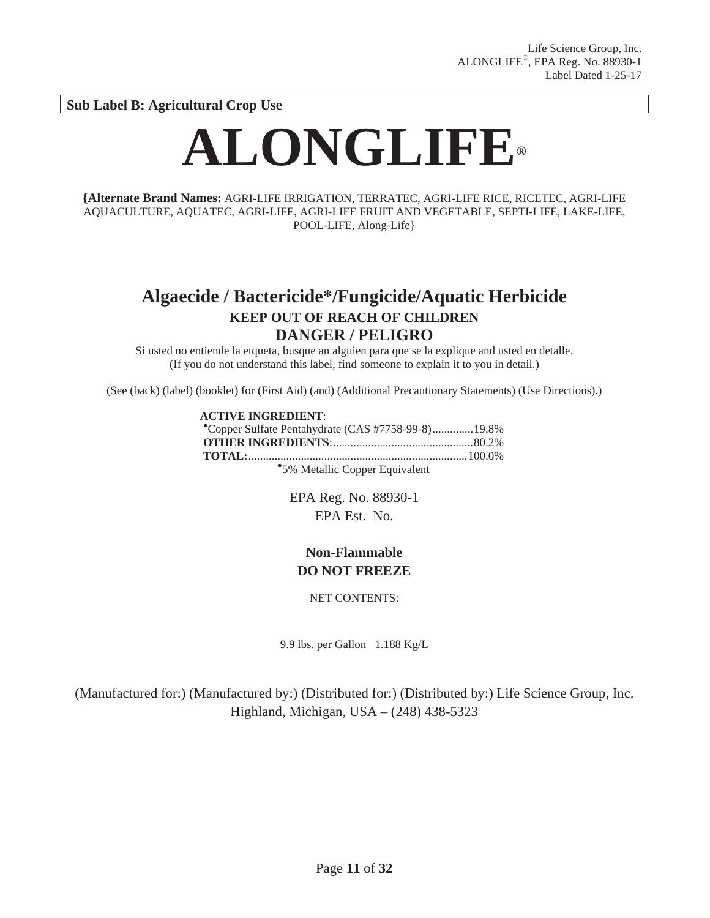**Sub Label B: Agricultural Crop Use** 

# **ALONGLIFE®**

**{Alternate Brand Names:** AGRI-LIFE IRRIGATION, TERRATEC, AGRI-LIFE RICE, RICETEC, AGRI-LIFE AQUACULTURE, AQUATEC, AGRI-LIFE, AGRI-LIFE FRUIT AND VEGETABLE, SEPTI-LIFE, LAKE-LIFE, POOL-LIFE, Along-Life}

# **Algaecide / Bactericide\*/Fungicide/Aquatic Herbicide KEEP OUT OF REACH OF CHILDREN DANGER / PELIGRO**

Si usted no entiende la etqueta, busque an alguien para que se la explique and usted en detalle. (If you do not understand this label, find someone to explain it to you in detail.)

(See (back) (label) (booklet) for (First Aid) (and) (Additional Precautionary Statements) (Use Directions).)

## **ACTIVE INGREDIENT:**

| Copper Sulfate Pentahydrate (CAS #7758-99-8)19.8% |  |
|---------------------------------------------------|--|
|                                                   |  |
|                                                   |  |
| *5% Metallic Copper Equivalent                    |  |

EPA Reg. No. 88930-1 EPA Est. No.

## **Non-Flammable DO NOT FREEZE**

NET CONTENTS:

9.9 lbs. per Gallon 1.188 Kg/L

(Manufactured for:) (Manufactured by:) (Distributed for:) (Distributed by:) Life Science Group, Inc. Highland, Michigan, USA – (248) 438-5323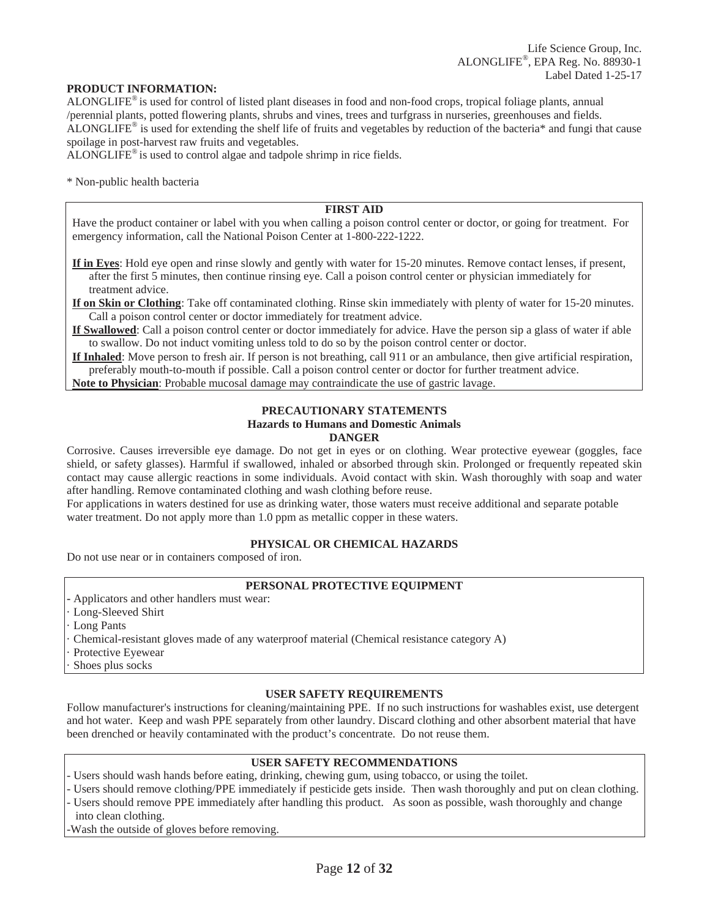#### **PRODUCT INFORMATION:**

ALONGLIFE® is used for control of listed plant diseases in food and non-food crops, tropical foliage plants, annual /perennial plants, potted flowering plants, shrubs and vines, trees and turfgrass in nurseries, greenhouses and fields. ALONGLIFE® is used for extending the shelf life of fruits and vegetables by reduction of the bacteria\* and fungi that cause spoilage in post-harvest raw fruits and vegetables.

ALONGLIFE® is used to control algae and tadpole shrimp in rice fields.

\* Non-public health bacteria

## **FIRST AID**

Have the product container or label with you when calling a poison control center or doctor, or going for treatment. For emergency information, call the National Poison Center at 1-800-222-1222.

**If in Eyes**: Hold eye open and rinse slowly and gently with water for 15-20 minutes. Remove contact lenses, if present, after the first 5 minutes, then continue rinsing eye. Call a poison control center or physician immediately for treatment advice.

**If on Skin or Clothing**: Take off contaminated clothing. Rinse skin immediately with plenty of water for 15-20 minutes. Call a poison control center or doctor immediately for treatment advice.

**If Swallowed**: Call a poison control center or doctor immediately for advice. Have the person sip a glass of water if able to swallow. Do not induct vomiting unless told to do so by the poison control center or doctor.

**If Inhaled**: Move person to fresh air. If person is not breathing, call 911 or an ambulance, then give artificial respiration, preferably mouth-to-mouth if possible. Call a poison control center or doctor for further treatment advice.

**Note to Physician**: Probable mucosal damage may contraindicate the use of gastric lavage.

#### **PRECAUTIONARY STATEMENTS Hazards to Humans and Domestic Animals DANGER**

Corrosive. Causes irreversible eye damage. Do not get in eyes or on clothing. Wear protective eyewear (goggles, face shield, or safety glasses). Harmful if swallowed, inhaled or absorbed through skin. Prolonged or frequently repeated skin contact may cause allergic reactions in some individuals. Avoid contact with skin. Wash thoroughly with soap and water after handling. Remove contaminated clothing and wash clothing before reuse.

For applications in waters destined for use as drinking water, those waters must receive additional and separate potable water treatment. Do not apply more than 1.0 ppm as metallic copper in these waters.

## **PHYSICAL OR CHEMICAL HAZARDS**

Do not use near or in containers composed of iron.

## **PERSONAL PROTECTIVE EQUIPMENT**

- Applicators and other handlers must wear:
- Long-Sleeved Shirt
- Long Pants
- · Chemical-resistant gloves made of any waterproof material (Chemical resistance category A)
- Protective Eyewear
- Shoes plus socks

#### **USER SAFETY REQUIREMENTS**

Follow manufacturer's instructions for cleaning/maintaining PPE. If no such instructions for washables exist, use detergent and hot water. Keep and wash PPE separately from other laundry. Discard clothing and other absorbent material that have been drenched or heavily contaminated with the product's concentrate. Do not reuse them.

## **USER SAFETY RECOMMENDATIONS**

- Users should wash hands before eating, drinking, chewing gum, using tobacco, or using the toilet.
- Users should remove clothing/PPE immediately if pesticide gets inside. Then wash thoroughly and put on clean clothing. - Users should remove PPE immediately after handling this product. As soon as possible, wash thoroughly and change
- into clean clothing.

-Wash the outside of gloves before removing.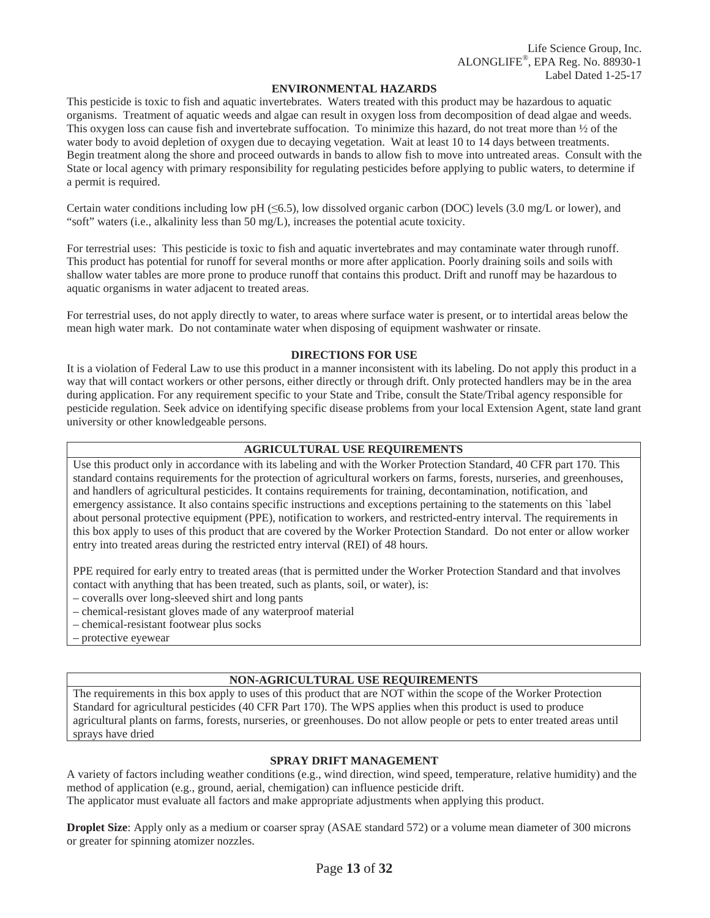#### **ENVIRONMENTAL HAZARDS**

This pesticide is toxic to fish and aquatic invertebrates. Waters treated with this product may be hazardous to aquatic organisms. Treatment of aquatic weeds and algae can result in oxygen loss from decomposition of dead algae and weeds. This oxygen loss can cause fish and invertebrate suffocation. To minimize this hazard, do not treat more than  $\frac{1}{2}$  of the water body to avoid depletion of oxygen due to decaying vegetation. Wait at least 10 to 14 days between treatments. Begin treatment along the shore and proceed outwards in bands to allow fish to move into untreated areas. Consult with the State or local agency with primary responsibility for regulating pesticides before applying to public waters, to determine if a permit is required.

Certain water conditions including low pH ( $\leq 6.5$ ), low dissolved organic carbon (DOC) levels (3.0 mg/L or lower), and "soft" waters (i.e., alkalinity less than 50 mg/L), increases the potential acute toxicity.

For terrestrial uses: This pesticide is toxic to fish and aquatic invertebrates and may contaminate water through runoff. This product has potential for runoff for several months or more after application. Poorly draining soils and soils with shallow water tables are more prone to produce runoff that contains this product. Drift and runoff may be hazardous to aquatic organisms in water adjacent to treated areas.

For terrestrial uses, do not apply directly to water, to areas where surface water is present, or to intertidal areas below the mean high water mark. Do not contaminate water when disposing of equipment washwater or rinsate.

#### **DIRECTIONS FOR USE**

It is a violation of Federal Law to use this product in a manner inconsistent with its labeling. Do not apply this product in a way that will contact workers or other persons, either directly or through drift. Only protected handlers may be in the area during application. For any requirement specific to your State and Tribe, consult the State/Tribal agency responsible for pesticide regulation. Seek advice on identifying specific disease problems from your local Extension Agent, state land grant university or other knowledgeable persons.

#### **AGRICULTURAL USE REQUIREMENTS**

Use this product only in accordance with its labeling and with the Worker Protection Standard, 40 CFR part 170. This standard contains requirements for the protection of agricultural workers on farms, forests, nurseries, and greenhouses, and handlers of agricultural pesticides. It contains requirements for training, decontamination, notification, and emergency assistance. It also contains specific instructions and exceptions pertaining to the statements on this `label about personal protective equipment (PPE), notification to workers, and restricted-entry interval. The requirements in this box apply to uses of this product that are covered by the Worker Protection Standard. Do not enter or allow worker entry into treated areas during the restricted entry interval (REI) of 48 hours.

PPE required for early entry to treated areas (that is permitted under the Worker Protection Standard and that involves contact with anything that has been treated, such as plants, soil, or water), is:

- coveralls over long-sleeved shirt and long pants
- chemical-resistant gloves made of any waterproof material
- chemical-resistant footwear plus socks
- protective eyewear

## **NON-AGRICULTURAL USE REQUIREMENTS**

The requirements in this box apply to uses of this product that are NOT within the scope of the Worker Protection Standard for agricultural pesticides (40 CFR Part 170). The WPS applies when this product is used to produce agricultural plants on farms, forests, nurseries, or greenhouses. Do not allow people or pets to enter treated areas until sprays have dried

## **SPRAY DRIFT MANAGEMENT**

A variety of factors including weather conditions (e.g., wind direction, wind speed, temperature, relative humidity) and the method of application (e.g., ground, aerial, chemigation) can influence pesticide drift.

The applicator must evaluate all factors and make appropriate adjustments when applying this product.

**Droplet Size**: Apply only as a medium or coarser spray (ASAE standard 572) or a volume mean diameter of 300 microns or greater for spinning atomizer nozzles.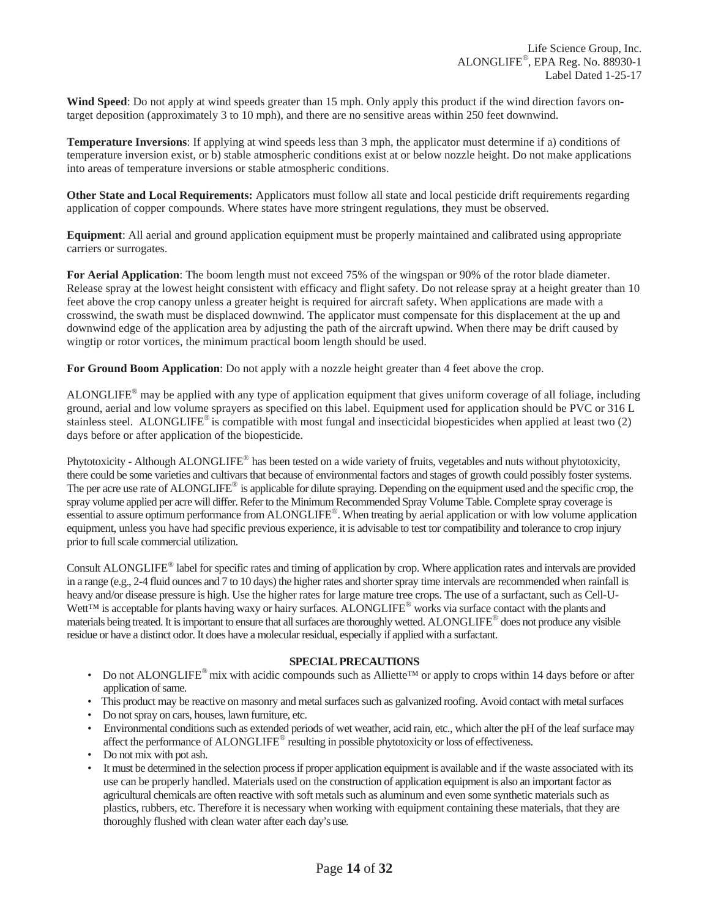**Wind Speed**: Do not apply at wind speeds greater than 15 mph. Only apply this product if the wind direction favors ontarget deposition (approximately 3 to 10 mph), and there are no sensitive areas within 250 feet downwind.

**Temperature Inversions**: If applying at wind speeds less than 3 mph, the applicator must determine if a) conditions of temperature inversion exist, or b) stable atmospheric conditions exist at or below nozzle height. Do not make applications into areas of temperature inversions or stable atmospheric conditions.

**Other State and Local Requirements:** Applicators must follow all state and local pesticide drift requirements regarding application of copper compounds. Where states have more stringent regulations, they must be observed.

**Equipment**: All aerial and ground application equipment must be properly maintained and calibrated using appropriate carriers or surrogates.

**For Aerial Application**: The boom length must not exceed 75% of the wingspan or 90% of the rotor blade diameter. Release spray at the lowest height consistent with efficacy and flight safety. Do not release spray at a height greater than 10 feet above the crop canopy unless a greater height is required for aircraft safety. When applications are made with a crosswind, the swath must be displaced downwind. The applicator must compensate for this displacement at the up and downwind edge of the application area by adjusting the path of the aircraft upwind. When there may be drift caused by wingtip or rotor vortices, the minimum practical boom length should be used.

**For Ground Boom Application**: Do not apply with a nozzle height greater than 4 feet above the crop.

ALONGLIFE<sup>®</sup> may be applied with any type of application equipment that gives uniform coverage of all foliage, including ground, aerial and low volume sprayers as specified on this label. Equipment used for application should be PVC or 316 L stainless steel. ALONGLIFE<sup>®</sup> is compatible with most fungal and insecticidal biopesticides when applied at least two (2) days before or after application of the biopesticide.

Phytotoxicity - Although ALONGLIFE<sup>®</sup> has been tested on a wide variety of fruits, vegetables and nuts without phytotoxicity, there could be some varieties and cultivars that because of environmental factors and stages of growth could possibly foster systems. The per acre use rate of ALONGLIFE<sup>®</sup> is applicable for dilute spraying. Depending on the equipment used and the specific crop, the spray volume applied per acre will differ. Refer to the Minimum Recommended Spray Volume Table. Complete spray coverage is essential to assure optimum performance from ALONGLIFE®. When treating by aerial application or with low volume application equipment, unless you have had specific previous experience, it is advisable to test tor compatibility and tolerance to crop injury prior to full scale commercial utilization.

Consult ALONGLIFE® label for specific rates and timing of application by crop. Where application rates and intervals are provided in a range (e.g., 2-4 fluid ounces and 7 to 10 days) the higher rates and shorter spray time intervals are recommended when rainfall is heavy and/or disease pressure is high. Use the higher rates for large mature tree crops. The use of a surfactant, such as Cell-U-Wett<sup>™</sup> is acceptable for plants having waxy or hairy surfaces. ALONGLIFE<sup>®</sup> works via surface contact with the plants and materials being treated. It is important to ensure that all surfaces are thoroughly wetted. ALONGLIFE<sup>®</sup> does not produce any visible residue or have a distinct odor. It does have a molecular residual, especially if applied with a surfactant.

#### **SPECIAL PRECAUTIONS**

- Do not ALONGLIFE® mix with acidic compounds such as Alliette™ or apply to crops within 14 days before or after application of same.
- This product may be reactive on masonry and metal surfaces such as galvanized roofing. Avoid contact with metal surfaces
- Do not spray on cars, houses, lawn furniture, etc.
- Environmental conditions such as extended periods of wet weather, acid rain, etc., which alter the pH of the leaf surface may affect the performance of ALONGLIFE® resulting in possible phytotoxicity or loss of effectiveness.
- Do not mix with pot ash.
- It must be determined in the selection process if proper application equipment is available and if the waste associated with its use can be properly handled. Materials used on the construction of application equipment is also an important factor as agricultural chemicals are often reactive with soft metals such as aluminum and even some synthetic materials such as plastics, rubbers, etc. Therefore it is necessary when working with equipment containing these materials, that they are thoroughly flushed with clean water after each day's use.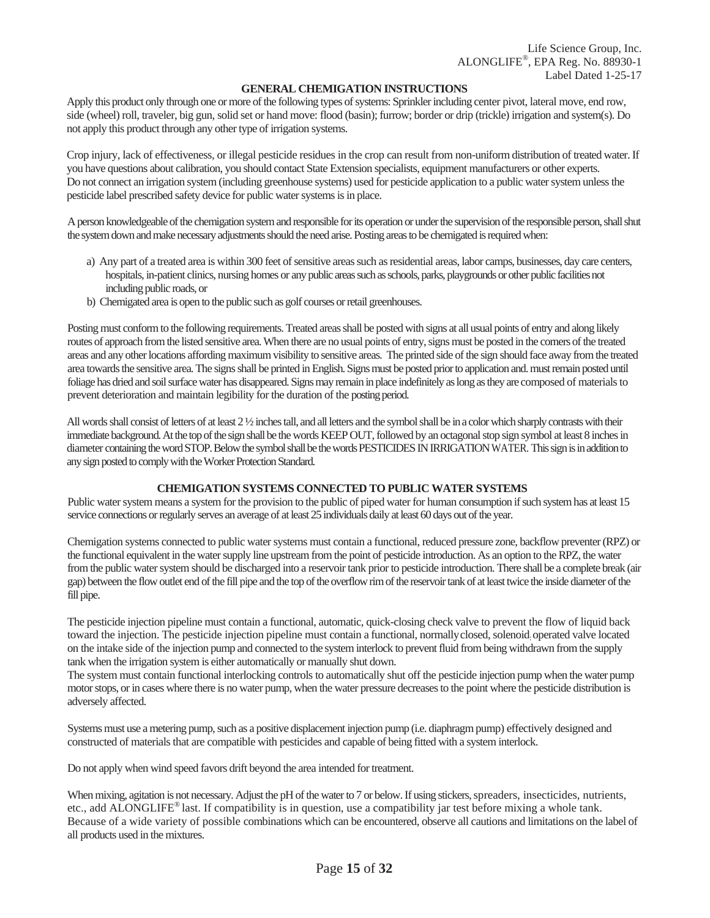#### **GENERAL CHEMIGATION INSTRUCTIONS**

Apply this product only through one or more of the following types of systems: Sprinkler including center pivot, lateral move, end row, side (wheel) roll, traveler, big gun, solid set or hand move: flood (basin); furrow; border or drip (trickle) irrigation and system(s). Do not apply this product through any other type of irrigation systems.

Crop injury, lack of effectiveness, or illegal pesticide residues in the crop can result from non-uniform distribution of treated water. If you have questions about calibration, you should contact State Extension specialists, equipment manufacturers or other experts. Do not connect an irrigation system (including greenhouse systems) used for pesticide application to a public water system unless the pesticide label prescribed safety device for public water systems is in place.

A person knowledgeable of the chemigation system and responsible for its operation or under the supervision of the responsible person, shall shut the system down and make necessary adjustments should the need arise. Posting areas to be chemigated is required when:

- a) Any part of a treated area is within 300 feet of sensitive areas such as residential areas, labor camps, businesses, day care centers, hospitals, in-patient clinics, nursing homes or any public areas such as schools, parks, playgrounds or other public facilities not including public roads, or
- b) Chemigated area is open to the public such as golf courses or retail greenhouses.

Posting must conform to the following requirements. Treated areas shall be posted with signs at all usual points of entry and along likely routes of approach from the listed sensitive area. When there are no usual points of entry, signs must be posted in the corners of the treated areas and any other locations affording maximum visibility to sensitive areas. The printed side of the sign should face away from the treated area towards the sensitive area. The signs shall be printed in English. Signs must be posted prior to application and. must remain posted until foliage has dried and soil surface water has disappeared. Signs may remain in place indefinitely as long as they are composed of materials to prevent deterioration and maintain legibility for the duration of the posting period.

All words shall consist of letters of at least 2 ½ inches tall, and all letters and the symbol shall be in a color which sharply contrasts with their immediate background. At the top of the sign shall be the words KEEP OUT, followed by an octagonal stop sign symbol at least 8 inches in diameter containing the word STOP. Below the symbol shall be the words PESTICIDES IN IRRIGATION WATER. This sign is in addition to any sign posted to comply with the Worker Protection Standard.

## **CHEMIGATION SYSTEMS CONNECTED TO PUBLIC WATER SYSTEMS**

Public water system means a system for the provision to the public of piped water for human consumption if such system has at least 15 service connections or regularly serves an average of at least 25 individuals daily at least 60 days out of the year.

Chemigation systems connected to public water systems must contain a functional, reduced pressure zone, backflow preventer (RPZ) or the functional equivalent in the water supply line upstream from the point of pesticide introduction. As an option to the RPZ, the water from the public water system should be discharged into a reservoir tank prior to pesticide introduction. There shall be a complete break (air gap) between the flow outlet end of the fill pipe and the top of the overflow rim of the reservoir tank of at least twice the inside diameter of the fill pipe.

The pesticide injection pipeline must contain a functional, automatic, quick-closing check valve to prevent the flow of liquid back toward the injection. The pesticide injection pipeline must contain a functional, normallyclosed, solenoid: operated valve located on the intake side of the injection pump and connected to the system interlock to prevent fluid from being withdrawn from the supply tank when the irrigation system is either automatically or manually shut down.

The system must contain functional interlocking controls to automatically shut off the pesticide injection pump when the water pump motor stops, or in cases where there is no water pump, when the water pressure decreases to the point where the pesticide distribution is adversely affected.

Systems must use a metering pump, such as a positive displacement injection pump (i.e. diaphragm pump) effectively designed and constructed of materials that are compatible with pesticides and capable of being fitted with a system interlock.

Do not apply when wind speed favors drift beyond the area intended for treatment.

When mixing, agitation is not necessary. Adjust the pH of the water to 7 or below. If using stickers, spreaders, insecticides, nutrients, etc., add ALONGLIFE® last. If compatibility is in question, use a compatibility jar test before mixing a whole tank. Because of a wide variety of possible combinations which can be encountered, observe all cautions and limitations on the label of all products used in the mixtures.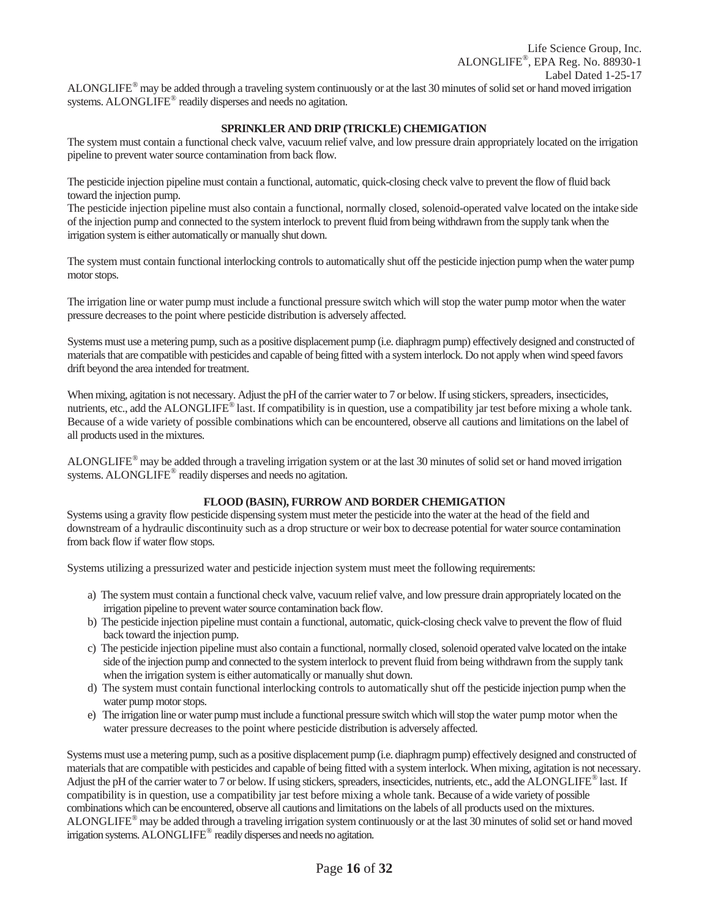#### **SPRINKLER AND DRIP (TRICKLE) CHEMIGATION**

The system must contain a functional check valve, vacuum relief valve, and low pressure drain appropriately located on the irrigation pipeline to prevent water source contamination from back flow.

The pesticide injection pipeline must contain a functional, automatic, quick-closing check valve to prevent the flow of fluid back toward the injection pump.

The pesticide injection pipeline must also contain a functional, normally closed, solenoid-operated valve located on the intake side of the injection pump and connected to the system interlock to prevent fluid from being withdrawn from the supply tank when the irrigation system is either automatically or manually shut down.

The system must contain functional interlocking controls to automatically shut off the pesticide injection pump when the water pump motor stops.

The irrigation line or water pump must include a functional pressure switch which will stop the water pump motor when the water pressure decreases to the point where pesticide distribution is adversely affected.

Systems must use a metering pump, such as a positive displacement pump (i.e. diaphragm pump) effectively designed and constructed of materials that are compatible with pesticides and capable of being fitted with a system interlock. Do not apply when wind speed favors drift beyond the area intended for treatment.

When mixing, agitation is not necessary. Adjust the pH of the carrier water to 7 or below. If using stickers, spreaders, insecticides, nutrients, etc., add the ALONGLIFE<sup>®</sup> last. If compatibility is in question, use a compatibility jar test before mixing a whole tank. Because of a wide variety of possible combinations which can be encountered, observe all cautions and limitations on the label of all products used in the mixtures.

ALONGLIFE<sup>®</sup> may be added through a traveling irrigation system or at the last 30 minutes of solid set or hand moved irrigation systems. ALONGLIFE<sup>®</sup> readily disperses and needs no agitation.

#### **FLOOD (BASIN), FURROW AND BORDER CHEMIGATION**

Systems using a gravity flow pesticide dispensing system must meter the pesticide into the water at the head of the field and downstream of a hydraulic discontinuity such as a drop structure or weir box to decrease potential for water source contamination from back flow if water flow stops.

Systems utilizing a pressurized water and pesticide injection system must meet the following requirements:

- a) The system must contain a functional check valve, vacuum relief valve, and low pressure drain appropriately located on the irrigation pipeline to prevent water source contamination back flow.
- b) The pesticide injection pipeline must contain a functional, automatic, quick-closing check valve to prevent the flow of fluid back toward the injection pump.
- c) The pesticide injection pipeline must also contain a functional, normally closed, solenoid operated valve located on the intake side of the injection pump and connected to the system interlock to prevent fluid from being withdrawn from the supply tank when the irrigation system is either automatically or manually shut down.
- d) The system must contain functional interlocking controls to automatically shut off the pesticide injection pump when the water pump motor stops.
- e) The irrigation line or water pump must include a functional pressure switch which will stop the water pump motor when the water pressure decreases to the point where pesticide distribution is adversely affected.

Systems must use a metering pump, such as a positive displacement pump (i.e. diaphragm pump) effectively designed and constructed of materials that are compatible with pesticides and capable of being fitted with a system interlock. When mixing, agitation is not necessary. Adjust the pH of the carrier water to 7 or below. If using stickers, spreaders, insecticides, nutrients, etc., add the ALONGLIFE<sup>®</sup> last. If compatibility is in question, use a compatibility jar test before mixing a whole tank. Because of a wide variety of possible combinations which can be encountered, observe all cautions and limitations on the labels of all products used on the mixtures. ALONGLIFE® may be added through a traveling irrigation system continuously or at the last 30 minutes of solid set or hand moved irrigation systems. ALONGLIFE® readily disperses and needs no agitation.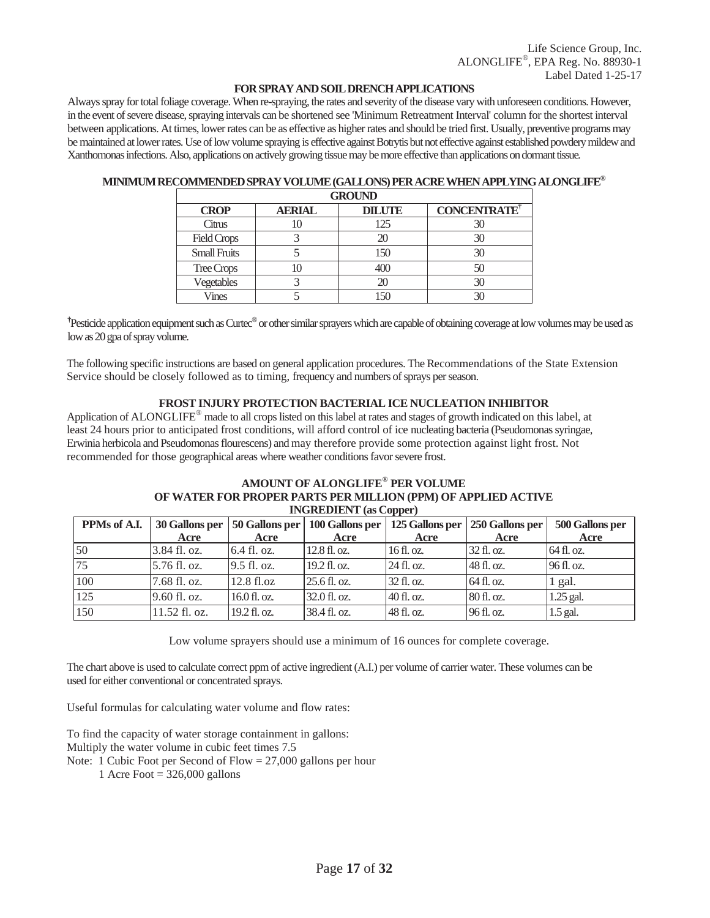#### **FOR SPRAY AND SOIL DRENCH APPLICATIONS**

Always spray for total foliage coverage. When re-spraying, the rates and severity of the disease vary with unforeseen conditions. However, in the event of severe disease, spraying intervals can be shortened see 'Minimum Retreatment Interval' column for the shortest interval between applications. At times, lower rates can be as effective as higher rates and should be tried first. Usually, preventive programs may be maintained at lower rates. Use of low volume spraying is effective against Botrytis but not effective against established powdery mildew and Xanthomonas infections. Also, applications on actively growing tissue may be more effective than applications on dormant tissue.

|                     | <b>GROUND</b> |               |                    |  |  |  |  |  |
|---------------------|---------------|---------------|--------------------|--|--|--|--|--|
| <b>CROP</b>         | <b>AERIAL</b> | <b>DILUTE</b> | <b>CONCENTRATE</b> |  |  |  |  |  |
| Citrus              |               | 125           |                    |  |  |  |  |  |
| <b>Field Crops</b>  |               |               |                    |  |  |  |  |  |
| <b>Small Fruits</b> |               | 150           |                    |  |  |  |  |  |
| Tree Crops          |               | 400           |                    |  |  |  |  |  |
| Vegetables          |               |               |                    |  |  |  |  |  |
| Vines               |               |               |                    |  |  |  |  |  |

#### **MINIMUM RECOMMENDED SPRAY VOLUME (GALLONS) PER ACRE WHEN APPLYING ALONGLIFE®**

<sup>†</sup>Pesticide application equipment such as Curtec<sup>®</sup> or other similar sprayers which are capable of obtaining coverage at low volumes may be used as low as 20 gpa of spray volume.

The following specific instructions are based on general application procedures. The Recommendations of the State Extension Service should be closely followed as to timing, frequency and numbers of sprays per season.

#### **FROST INJURY PROTECTION BACTERIAL ICE NUCLEATION INHIBITOR**

Application of ALONGLIFE® made to all crops listed on this label at rates and stages of growth indicated on this label, at least 24 hours prior to anticipated frost conditions, will afford control of ice nucleating bacteria (Pseudomonas syringae, Erwinia herbicola and Pseudomonas flourescens) and may therefore provide some protection against light frost. Not recommended for those geographical areas where weather conditions favor severe frost.

#### **AMOUNT OF ALONGLIFE® PER VOLUME OF WATER FOR PROPER PARTS PER MILLION (PPM) OF APPLIED ACTIVE INGREDIENT (as Copper)**

| PPMs of A.I. | 30 Gallons per |                | 50 Gallons per   100 Gallons per | 125 Gallons per | 250 Gallons per | 500 Gallons per |
|--------------|----------------|----------------|----------------------------------|-----------------|-----------------|-----------------|
|              | Acre           | Acre           | Acre                             | Acre            | Acre            | Acre            |
| 50           | 3.84 fl. oz.   | 6.4 fl. oz.    | $12.8 \text{ fl. oz.}$           | 16 fl. oz.      | 32 fl. oz.      | 64 fl. oz.      |
| 75           | 5.76 fl. oz.   | $9.5$ fl. oz.  | $19.2$ fl. oz.                   | $24$ fl. oz.    | 48 fl. oz.      | 96f1.0z         |
| 100          | 7.68 fl. oz.   | 12.8 fl.oz     | 25.6 fl. oz.                     | 32 fl. oz.      | 64 fl. oz.      | 1 gal.          |
| 125          | 9.60 fl. oz.   | $16.0$ fl. oz. | 32.0 fl. oz.                     | $40f$ . oz.     | 80 fl. oz.      | 1.25 gal.       |
| 150          | 11.52 fl. oz.  | 19.2 fl. oz.   | 38.4 fl. oz.                     | 48 fl. oz.      | 96 fl. oz.      | $1.5$ gal.      |

Low volume sprayers should use a minimum of 16 ounces for complete coverage.

The chart above is used to calculate correct ppm of active ingredient (A.I.) per volume of carrier water. These volumes can be used for either conventional or concentrated sprays.

Useful formulas for calculating water volume and flow rates:

To find the capacity of water storage containment in gallons: Multiply the water volume in cubic feet times 7.5 Note: 1 Cubic Foot per Second of Flow = 27,000 gallons per hour

1 Acre Foot  $= 326,000$  gallons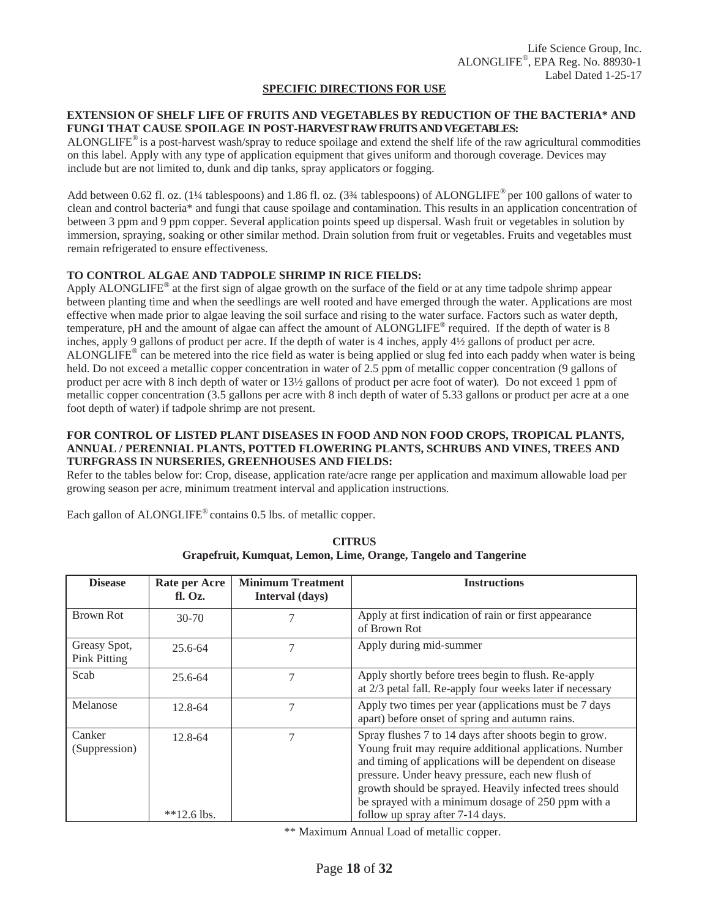#### **SPECIFIC DIRECTIONS FOR USE**

## **EXTENSION OF SHELF LIFE OF FRUITS AND VEGETABLES BY REDUCTION OF THE BACTERIA\* AND FUNGI THAT CAUSE SPOILAGE IN POST-HARVEST RAW FRUITS AND VEGETABLES:**

ALONGLIFE® is a post-harvest wash/spray to reduce spoilage and extend the shelf life of the raw agricultural commodities on this label. Apply with any type of application equipment that gives uniform and thorough coverage. Devices may include but are not limited to, dunk and dip tanks, spray applicators or fogging.

Add between 0.62 fl. oz. (1¼ tablespoons) and 1.86 fl. oz. (3¾ tablespoons) of ALONGLIFE® per 100 gallons of water to clean and control bacteria\* and fungi that cause spoilage and contamination. This results in an application concentration of between 3 ppm and 9 ppm copper. Several application points speed up dispersal. Wash fruit or vegetables in solution by immersion, spraying, soaking or other similar method. Drain solution from fruit or vegetables. Fruits and vegetables must remain refrigerated to ensure effectiveness.

#### **TO CONTROL ALGAE AND TADPOLE SHRIMP IN RICE FIELDS:**

Apply ALONGLIFE<sup>®</sup> at the first sign of algae growth on the surface of the field or at any time tadpole shrimp appear between planting time and when the seedlings are well rooted and have emerged through the water. Applications are most effective when made prior to algae leaving the soil surface and rising to the water surface. Factors such as water depth, temperature, pH and the amount of algae can affect the amount of ALONGLIFE® required. If the depth of water is 8 inches, apply 9 gallons of product per acre. If the depth of water is 4 inches, apply 4½ gallons of product per acre.  $ALONGLIF<sup>®</sup>$  can be metered into the rice field as water is being applied or slug fed into each paddy when water is being held. Do not exceed a metallic copper concentration in water of 2.5 ppm of metallic copper concentration (9 gallons of product per acre with 8 inch depth of water or 13½ gallons of product per acre foot of water)*.* Do not exceed 1 ppm of metallic copper concentration (3.5 gallons per acre with 8 inch depth of water of 5.33 gallons or product per acre at a one foot depth of water) if tadpole shrimp are not present.

#### **FOR CONTROL OF LISTED PLANT DISEASES IN FOOD AND NON FOOD CROPS, TROPICAL PLANTS, ANNUAL / PERENNIAL PLANTS, POTTED FLOWERING PLANTS, SCHRUBS AND VINES, TREES AND TURFGRASS IN NURSERIES, GREENHOUSES AND FIELDS:**

Refer to the tables below for: Crop, disease, application rate/acre range per application and maximum allowable load per growing season per acre, minimum treatment interval and application instructions.

Each gallon of ALONGLIFE® contains 0.5 lbs. of metallic copper.

| Rate per Acre<br>f. 0z. | <b>Minimum Treatment</b><br>Interval (days) | <b>Instructions</b>                                                                                                                                                                                                                                                                                                                                                                    |
|-------------------------|---------------------------------------------|----------------------------------------------------------------------------------------------------------------------------------------------------------------------------------------------------------------------------------------------------------------------------------------------------------------------------------------------------------------------------------------|
| $30-70$                 | 7                                           | Apply at first indication of rain or first appearance<br>of Brown Rot                                                                                                                                                                                                                                                                                                                  |
| $25.6 - 64$             | 7                                           | Apply during mid-summer                                                                                                                                                                                                                                                                                                                                                                |
| 25.6-64                 | 7                                           | Apply shortly before trees begin to flush. Re-apply<br>at 2/3 petal fall. Re-apply four weeks later if necessary                                                                                                                                                                                                                                                                       |
| 12.8-64                 | $\overline{7}$                              | Apply two times per year (applications must be 7 days<br>apart) before onset of spring and autumn rains.                                                                                                                                                                                                                                                                               |
| 12.8-64                 |                                             | Spray flushes 7 to 14 days after shoots begin to grow.<br>Young fruit may require additional applications. Number<br>and timing of applications will be dependent on disease<br>pressure. Under heavy pressure, each new flush of<br>growth should be sprayed. Heavily infected trees should<br>be sprayed with a minimum dosage of 250 ppm with a<br>follow up spray after 7-14 days. |
|                         | $*$ <sup>2.6</sup> lbs.                     |                                                                                                                                                                                                                                                                                                                                                                                        |

**CITRUS Grapefruit, Kumquat, Lemon, Lime, Orange, Tangelo and Tangerine** 

\*\* Maximum Annual Load of metallic copper.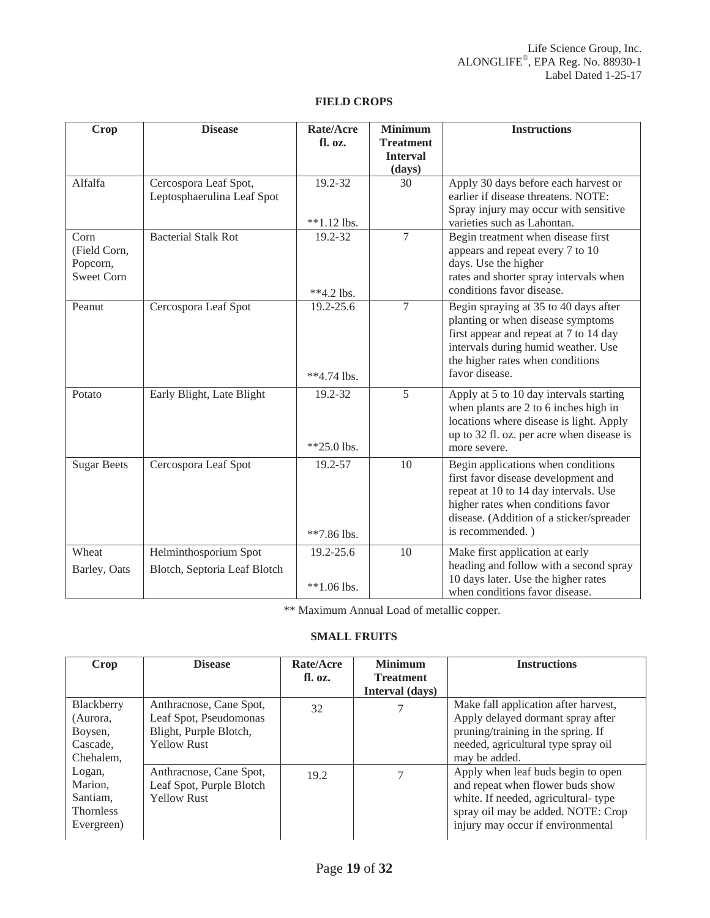| <b>Crop</b>                                           | <b>Disease</b>                                        | Rate/Acre<br>fl. oz.       | <b>Minimum</b><br><b>Treatment</b><br><b>Interval</b><br>(days) | <b>Instructions</b>                                                                                                                                                                                                      |
|-------------------------------------------------------|-------------------------------------------------------|----------------------------|-----------------------------------------------------------------|--------------------------------------------------------------------------------------------------------------------------------------------------------------------------------------------------------------------------|
| Alfalfa                                               | Cercospora Leaf Spot,<br>Leptosphaerulina Leaf Spot   | 19.2-32<br>$**1.12$ lbs.   | 30                                                              | Apply 30 days before each harvest or<br>earlier if disease threatens. NOTE:<br>Spray injury may occur with sensitive<br>varieties such as Lahontan.                                                                      |
| Corn<br>(Field Corn,<br>Popcorn,<br><b>Sweet Corn</b> | <b>Bacterial Stalk Rot</b>                            | 19.2-32<br>**4.2 lbs.      | $\overline{7}$                                                  | Begin treatment when disease first<br>appears and repeat every 7 to 10<br>days. Use the higher<br>rates and shorter spray intervals when<br>conditions favor disease.                                                    |
| Peanut                                                | Cercospora Leaf Spot                                  | 19.2-25.6<br>**4.74 lbs.   | $\overline{7}$                                                  | Begin spraying at 35 to 40 days after<br>planting or when disease symptoms<br>first appear and repeat at 7 to 14 day<br>intervals during humid weather. Use<br>the higher rates when conditions<br>favor disease.        |
| Potato                                                | Early Blight, Late Blight                             | 19.2-32<br>$*25.0$ lbs.    | 5                                                               | Apply at 5 to 10 day intervals starting<br>when plants are 2 to 6 inches high in<br>locations where disease is light. Apply<br>up to 32 fl. oz. per acre when disease is<br>more severe.                                 |
| <b>Sugar Beets</b>                                    | Cercospora Leaf Spot                                  | 19.2-57<br>**7.86 lbs.     | 10                                                              | Begin applications when conditions<br>first favor disease development and<br>repeat at 10 to 14 day intervals. Use<br>higher rates when conditions favor<br>disease. (Addition of a sticker/spreader<br>is recommended.) |
| Wheat<br>Barley, Oats                                 | Helminthosporium Spot<br>Blotch, Septoria Leaf Blotch | 19.2-25.6<br>$**1.06$ lbs. | 10                                                              | Make first application at early<br>heading and follow with a second spray<br>10 days later. Use the higher rates<br>when conditions favor disease.                                                                       |

## **FIELD CROPS**

\*\* Maximum Annual Load of metallic copper.

## **SMALL FRUITS**

| Crop                                                            | <b>Disease</b>                                                                                    | Rate/Acre<br>fl. oz. | <b>Minimum</b><br><b>Treatment</b> | <b>Instructions</b>                                                                                                                                                                      |
|-----------------------------------------------------------------|---------------------------------------------------------------------------------------------------|----------------------|------------------------------------|------------------------------------------------------------------------------------------------------------------------------------------------------------------------------------------|
|                                                                 |                                                                                                   |                      | Interval (days)                    |                                                                                                                                                                                          |
| Blackberry<br>(Aurora,<br>Boysen,<br>Cascade.<br>Chehalem,      | Anthracnose, Cane Spot,<br>Leaf Spot, Pseudomonas<br>Blight, Purple Blotch,<br><b>Yellow Rust</b> | 32                   |                                    | Make fall application after harvest,<br>Apply delayed dormant spray after<br>pruning/training in the spring. If<br>needed, agricultural type spray oil<br>may be added.                  |
| Logan,<br>Marion.<br>Santiam,<br><b>Thornless</b><br>Evergreen) | Anthracnose, Cane Spot,<br>Leaf Spot, Purple Blotch<br><b>Yellow Rust</b>                         | 19.2                 |                                    | Apply when leaf buds begin to open<br>and repeat when flower buds show<br>white. If needed, agricultural-type<br>spray oil may be added. NOTE: Crop<br>injury may occur if environmental |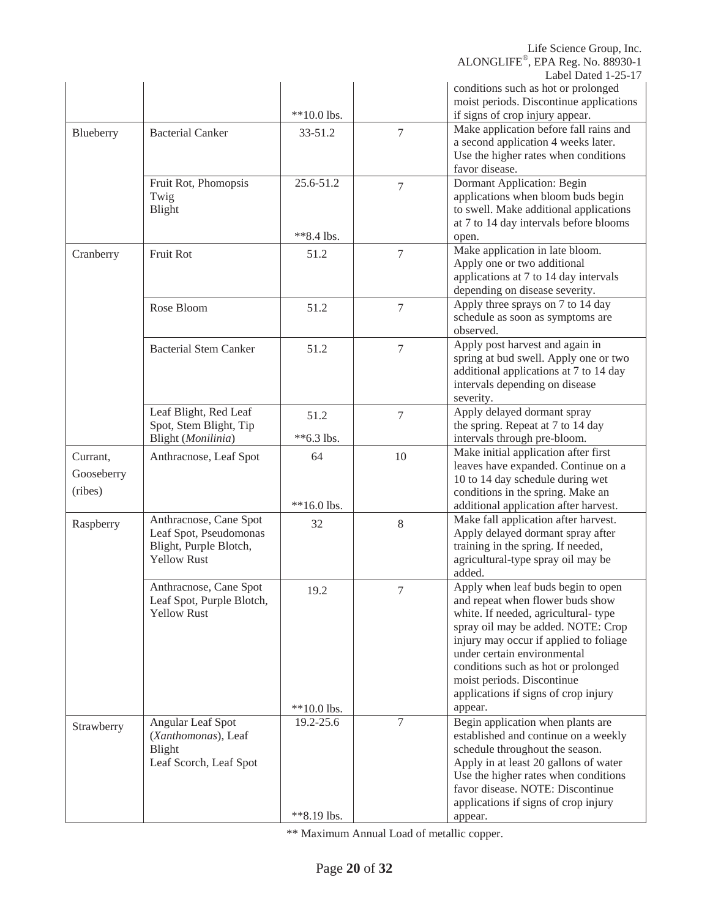Life Science Group, Inc. ALONGLIFE®, EPA Reg. No. 88930-1

Label Dated 1-25-17

|            |                              |               |                 | Label Dated 1-25-17                     |
|------------|------------------------------|---------------|-----------------|-----------------------------------------|
|            |                              |               |                 | conditions such as hot or prolonged     |
|            |                              |               |                 | moist periods. Discontinue applications |
|            |                              | $**10.0$ lbs. |                 | if signs of crop injury appear.         |
| Blueberry  | <b>Bacterial Canker</b>      | 33-51.2       | $7\phantom{.0}$ | Make application before fall rains and  |
|            |                              |               |                 | a second application 4 weeks later.     |
|            |                              |               |                 | Use the higher rates when conditions    |
|            |                              |               |                 | favor disease.                          |
|            | Fruit Rot, Phomopsis         | 25.6-51.2     | $\overline{7}$  | <b>Dormant Application: Begin</b>       |
|            | Twig                         |               |                 | applications when bloom buds begin      |
|            | Blight                       |               |                 | to swell. Make additional applications  |
|            |                              |               |                 |                                         |
|            |                              |               |                 | at 7 to 14 day intervals before blooms  |
|            |                              | **8.4 lbs.    |                 | open.                                   |
| Cranberry  | Fruit Rot                    | 51.2          | $\overline{7}$  | Make application in late bloom.         |
|            |                              |               |                 | Apply one or two additional             |
|            |                              |               |                 | applications at 7 to 14 day intervals   |
|            |                              |               |                 | depending on disease severity.          |
|            | Rose Bloom                   | 51.2          | $7\phantom{.0}$ | Apply three sprays on 7 to 14 day       |
|            |                              |               |                 | schedule as soon as symptoms are        |
|            |                              |               |                 | observed.                               |
|            | <b>Bacterial Stem Canker</b> |               | $\overline{7}$  | Apply post harvest and again in         |
|            |                              | 51.2          |                 | spring at bud swell. Apply one or two   |
|            |                              |               |                 | additional applications at 7 to 14 day  |
|            |                              |               |                 |                                         |
|            |                              |               |                 | intervals depending on disease          |
|            |                              |               |                 | severity.                               |
|            | Leaf Blight, Red Leaf        | 51.2          | $\overline{7}$  | Apply delayed dormant spray             |
|            | Spot, Stem Blight, Tip       |               |                 | the spring. Repeat at 7 to 14 day       |
|            | Blight (Monilinia)           | **6.3 lbs.    |                 | intervals through pre-bloom.            |
|            |                              |               |                 |                                         |
|            |                              |               |                 | Make initial application after first    |
| Currant,   | Anthracnose, Leaf Spot       | 64            | 10              | leaves have expanded. Continue on a     |
| Gooseberry |                              |               |                 |                                         |
| (ribes)    |                              |               |                 | 10 to 14 day schedule during wet        |
|            |                              |               |                 | conditions in the spring. Make an       |
|            |                              | $**16.0$ lbs. |                 | additional application after harvest.   |
| Raspberry  | Anthracnose, Cane Spot       | 32            | 8               | Make fall application after harvest.    |
|            | Leaf Spot, Pseudomonas       |               |                 | Apply delayed dormant spray after       |
|            | Blight, Purple Blotch,       |               |                 | training in the spring. If needed,      |
|            | <b>Yellow Rust</b>           |               |                 | agricultural-type spray oil may be      |
|            |                              |               |                 | added.                                  |
|            | Anthracnose, Cane Spot       | 19.2          | 7               | Apply when leaf buds begin to open      |
|            | Leaf Spot, Purple Blotch,    |               |                 | and repeat when flower buds show        |
|            | <b>Yellow Rust</b>           |               |                 | white. If needed, agricultural-type     |
|            |                              |               |                 | spray oil may be added. NOTE: Crop      |
|            |                              |               |                 | injury may occur if applied to foliage  |
|            |                              |               |                 | under certain environmental             |
|            |                              |               |                 |                                         |
|            |                              |               |                 | conditions such as hot or prolonged     |
|            |                              |               |                 | moist periods. Discontinue              |
|            |                              |               |                 | applications if signs of crop injury    |
|            |                              | $**10.0$ lbs. |                 | appear.                                 |
| Strawberry | Angular Leaf Spot            | 19.2-25.6     | 7               | Begin application when plants are       |
|            | (Xanthomonas), Leaf          |               |                 | established and continue on a weekly    |
|            | Blight                       |               |                 | schedule throughout the season.         |
|            | Leaf Scorch, Leaf Spot       |               |                 | Apply in at least 20 gallons of water   |
|            |                              |               |                 | Use the higher rates when conditions    |
|            |                              |               |                 | favor disease. NOTE: Discontinue        |
|            |                              |               |                 | applications if signs of crop injury    |

\*\* Maximum Annual Load of metallic copper.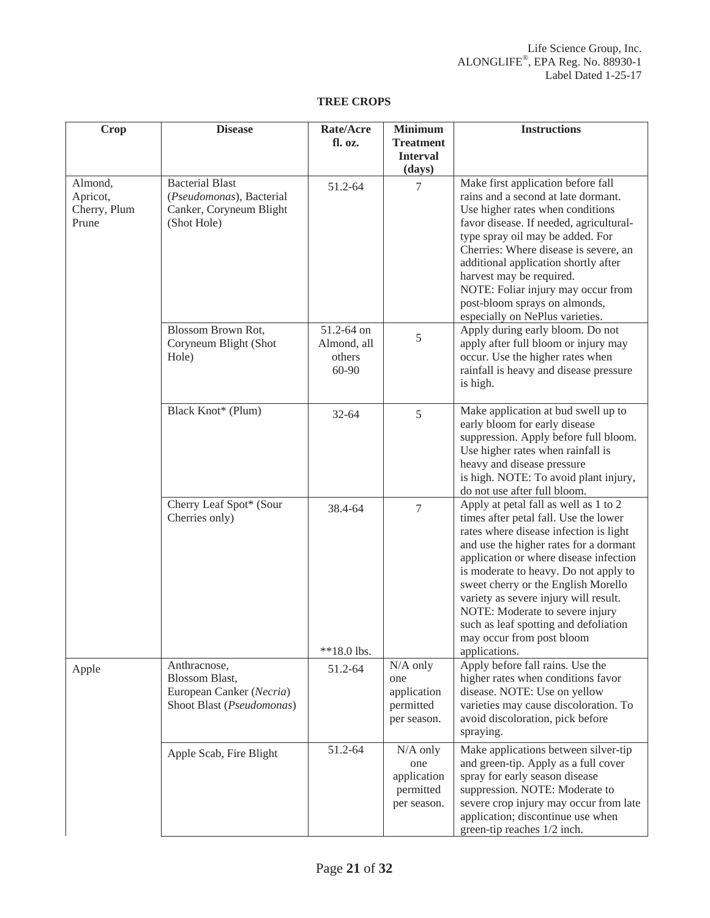## **TREE CROPS**

| <b>Crop</b>                                  | <b>Disease</b>                                                                                 | Rate/Acre<br>fl. oz.                         | <b>Minimum</b><br><b>Treatment</b>                           | <b>Instructions</b>                                                                                                                                                                                                                                                                                                                                                                                                                                             |
|----------------------------------------------|------------------------------------------------------------------------------------------------|----------------------------------------------|--------------------------------------------------------------|-----------------------------------------------------------------------------------------------------------------------------------------------------------------------------------------------------------------------------------------------------------------------------------------------------------------------------------------------------------------------------------------------------------------------------------------------------------------|
|                                              |                                                                                                |                                              | <b>Interval</b><br>(days)                                    |                                                                                                                                                                                                                                                                                                                                                                                                                                                                 |
| Almond,<br>Apricot,<br>Cherry, Plum<br>Prune | <b>Bacterial Blast</b><br>(Pseudomonas), Bacterial<br>Canker, Coryneum Blight<br>(Shot Hole)   | 51.2-64                                      | 7                                                            | Make first application before fall<br>rains and a second at late dormant.<br>Use higher rates when conditions<br>favor disease. If needed, agricultural-<br>type spray oil may be added. For<br>Cherries: Where disease is severe, an<br>additional application shortly after<br>harvest may be required.<br>NOTE: Foliar injury may occur from<br>post-bloom sprays on almonds,<br>especially on NePlus varieties.                                             |
|                                              | Blossom Brown Rot,<br>Coryneum Blight (Shot<br>Hole)                                           | 51.2-64 on<br>Almond, all<br>others<br>60-90 | 5                                                            | Apply during early bloom. Do not<br>apply after full bloom or injury may<br>occur. Use the higher rates when<br>rainfall is heavy and disease pressure<br>is high.                                                                                                                                                                                                                                                                                              |
|                                              | Black Knot* (Plum)                                                                             | $32 - 64$                                    | 5                                                            | Make application at bud swell up to<br>early bloom for early disease<br>suppression. Apply before full bloom.<br>Use higher rates when rainfall is<br>heavy and disease pressure<br>is high. NOTE: To avoid plant injury,<br>do not use after full bloom.                                                                                                                                                                                                       |
|                                              | Cherry Leaf Spot* (Sour<br>Cherries only)                                                      | 38.4-64<br>**18.0 lbs.                       | $\overline{7}$                                               | Apply at petal fall as well as 1 to 2<br>times after petal fall. Use the lower<br>rates where disease infection is light<br>and use the higher rates for a dormant<br>application or where disease infection<br>is moderate to heavy. Do not apply to<br>sweet cherry or the English Morello<br>variety as severe injury will result.<br>NOTE: Moderate to severe injury<br>such as leaf spotting and defoliation<br>may occur from post bloom<br>applications. |
| Apple                                        | Anthracnose,<br><b>Blossom Blast,</b><br>European Canker (Necria)<br>Shoot Blast (Pseudomonas) | 51.2-64                                      | $N/A$ only<br>one<br>application<br>permitted<br>per season. | Apply before fall rains. Use the<br>higher rates when conditions favor<br>disease. NOTE: Use on yellow<br>varieties may cause discoloration. To<br>avoid discoloration, pick before<br>spraying.                                                                                                                                                                                                                                                                |
|                                              | Apple Scab, Fire Blight                                                                        | 51.2-64                                      | $N/A$ only<br>one<br>application<br>permitted<br>per season. | Make applications between silver-tip<br>and green-tip. Apply as a full cover<br>spray for early season disease<br>suppression. NOTE: Moderate to<br>severe crop injury may occur from late<br>application; discontinue use when<br>green-tip reaches 1/2 inch.                                                                                                                                                                                                  |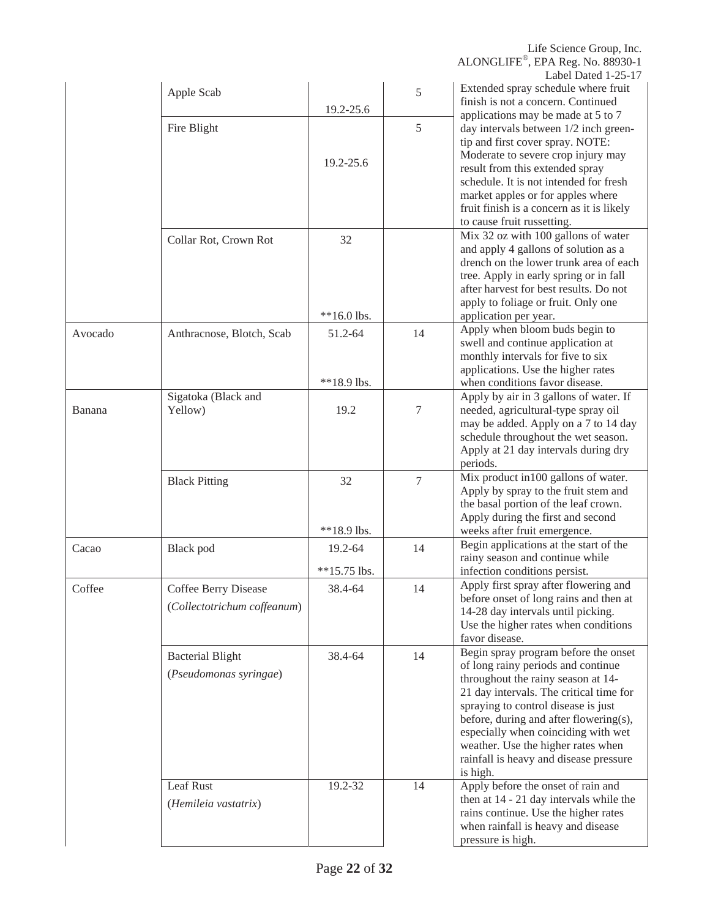|         | Apple Scab                                          | 19.2-25.6                 | 5  | Label Dawy 1-29-17<br>Extended spray schedule where fruit<br>finish is not a concern. Continued                                                                                                                                                                                                                                                                                 |
|---------|-----------------------------------------------------|---------------------------|----|---------------------------------------------------------------------------------------------------------------------------------------------------------------------------------------------------------------------------------------------------------------------------------------------------------------------------------------------------------------------------------|
|         | Fire Blight                                         | 19.2-25.6                 | 5  | applications may be made at 5 to 7<br>day intervals between 1/2 inch green-<br>tip and first cover spray. NOTE:<br>Moderate to severe crop injury may<br>result from this extended spray<br>schedule. It is not intended for fresh<br>market apples or for apples where<br>fruit finish is a concern as it is likely<br>to cause fruit russetting.                              |
|         | Collar Rot, Crown Rot                               | 32<br>**16.0 lbs.         |    | Mix 32 oz with 100 gallons of water<br>and apply 4 gallons of solution as a<br>drench on the lower trunk area of each<br>tree. Apply in early spring or in fall<br>after harvest for best results. Do not<br>apply to foliage or fruit. Only one<br>application per year.                                                                                                       |
| Avocado | Anthracnose, Blotch, Scab                           | 51.2-64<br>**18.9 lbs.    | 14 | Apply when bloom buds begin to<br>swell and continue application at<br>monthly intervals for five to six<br>applications. Use the higher rates<br>when conditions favor disease.                                                                                                                                                                                                |
| Banana  | Sigatoka (Black and<br>Yellow)                      | 19.2                      | 7  | Apply by air in 3 gallons of water. If<br>needed, agricultural-type spray oil<br>may be added. Apply on a 7 to 14 day<br>schedule throughout the wet season.<br>Apply at 21 day intervals during dry<br>periods.                                                                                                                                                                |
|         | <b>Black Pitting</b>                                | 32<br>**18.9 lbs.         | 7  | Mix product in 100 gallons of water.<br>Apply by spray to the fruit stem and<br>the basal portion of the leaf crown.<br>Apply during the first and second<br>weeks after fruit emergence.                                                                                                                                                                                       |
| Cacao   | Black pod                                           | 19.2-64<br>$**15.75$ lbs. | 14 | Begin applications at the start of the<br>rainy season and continue while<br>infection conditions persist.                                                                                                                                                                                                                                                                      |
| Coffee  | Coffee Berry Disease<br>(Collectotrichum coffeanum) | 38.4-64                   | 14 | Apply first spray after flowering and<br>before onset of long rains and then at<br>14-28 day intervals until picking.<br>Use the higher rates when conditions<br>favor disease.                                                                                                                                                                                                 |
|         | <b>Bacterial Blight</b><br>(Pseudomonas syringae)   | 38.4-64                   | 14 | Begin spray program before the onset<br>of long rainy periods and continue<br>throughout the rainy season at 14-<br>21 day intervals. The critical time for<br>spraying to control disease is just<br>before, during and after flowering(s),<br>especially when coinciding with wet<br>weather. Use the higher rates when<br>rainfall is heavy and disease pressure<br>is high. |
|         | Leaf Rust<br>(Hemileia vastatrix)                   | 19.2-32                   | 14 | Apply before the onset of rain and<br>then at 14 - 21 day intervals while the<br>rains continue. Use the higher rates<br>when rainfall is heavy and disease<br>pressure is high.                                                                                                                                                                                                |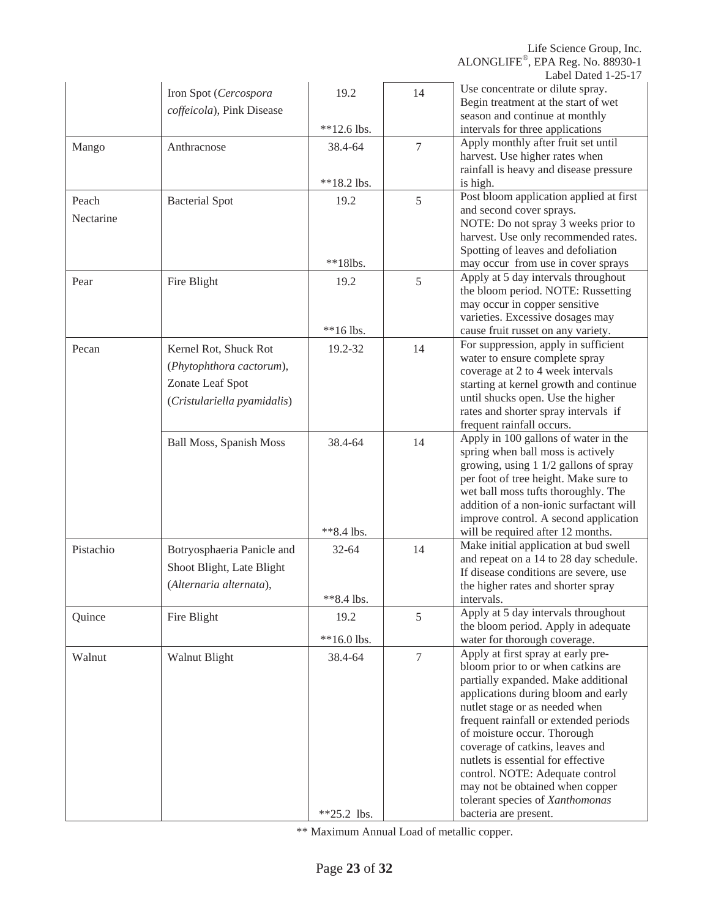|                    | Iron Spot (Cercospora<br>coffeicola), Pink Disease | 19.2                  | 14             | Use concentrate or dilute spray.<br>Begin treatment at the start of wet<br>season and continue at monthly       |
|--------------------|----------------------------------------------------|-----------------------|----------------|-----------------------------------------------------------------------------------------------------------------|
|                    |                                                    | $**12.6$ lbs.         |                | intervals for three applications                                                                                |
| Mango              | Anthracnose                                        | 38.4-64               | $\overline{7}$ | Apply monthly after fruit set until<br>harvest. Use higher rates when<br>rainfall is heavy and disease pressure |
|                    |                                                    | **18.2 lbs.           |                | is high.                                                                                                        |
| Peach<br>Nectarine | <b>Bacterial Spot</b>                              | 19.2                  | 5              | Post bloom application applied at first<br>and second cover sprays.<br>NOTE: Do not spray 3 weeks prior to      |
|                    |                                                    | $**18$ lbs.           |                | harvest. Use only recommended rates.<br>Spotting of leaves and defoliation                                      |
|                    |                                                    |                       |                | may occur from use in cover sprays<br>Apply at 5 day intervals throughout                                       |
| Pear               | Fire Blight                                        | 19.2                  | 5              | the bloom period. NOTE: Russetting<br>may occur in copper sensitive<br>varieties. Excessive dosages may         |
|                    |                                                    | **16 lbs.             |                | cause fruit russet on any variety.                                                                              |
| Pecan              | Kernel Rot, Shuck Rot                              | 19.2-32               | 14             | For suppression, apply in sufficient<br>water to ensure complete spray                                          |
|                    | (Phytophthora cactorum),                           |                       |                | coverage at 2 to 4 week intervals                                                                               |
|                    | Zonate Leaf Spot                                   |                       |                | starting at kernel growth and continue                                                                          |
|                    | (Cristulariella pyamidalis)                        |                       |                | until shucks open. Use the higher                                                                               |
|                    |                                                    |                       |                | rates and shorter spray intervals if                                                                            |
|                    |                                                    |                       |                | frequent rainfall occurs.                                                                                       |
|                    | <b>Ball Moss, Spanish Moss</b>                     | 38.4-64               | 14             | Apply in 100 gallons of water in the<br>spring when ball moss is actively                                       |
|                    |                                                    |                       |                | growing, using 1 1/2 gallons of spray                                                                           |
|                    |                                                    |                       |                | per foot of tree height. Make sure to                                                                           |
|                    |                                                    |                       |                | wet ball moss tufts thoroughly. The                                                                             |
|                    |                                                    |                       |                | addition of a non-ionic surfactant will                                                                         |
|                    |                                                    | **8.4 lbs.            |                | improve control. A second application<br>will be required after 12 months.                                      |
|                    |                                                    |                       |                | Make initial application at bud swell                                                                           |
| Pistachio          | Botryosphaeria Panicle and                         | $32 - 64$             | 14             | and repeat on a 14 to 28 day schedule.                                                                          |
|                    | Shoot Blight, Late Blight                          |                       |                | If disease conditions are severe, use                                                                           |
|                    | (Alternaria alternata),                            |                       |                | the higher rates and shorter spray                                                                              |
|                    |                                                    | $*8.4$ lbs.           |                | intervals.                                                                                                      |
| Quince             | Fire Blight                                        | 19.2<br>$**16.0$ lbs. | 5              | Apply at 5 day intervals throughout<br>the bloom period. Apply in adequate<br>water for thorough coverage.      |
|                    |                                                    |                       |                | Apply at first spray at early pre-                                                                              |
| Walnut             | Walnut Blight                                      | 38.4-64               | $\overline{7}$ | bloom prior to or when catkins are                                                                              |
|                    |                                                    |                       |                | partially expanded. Make additional                                                                             |
|                    |                                                    |                       |                | applications during bloom and early                                                                             |
|                    |                                                    |                       |                | nutlet stage or as needed when                                                                                  |
|                    |                                                    |                       |                | frequent rainfall or extended periods                                                                           |
|                    |                                                    |                       |                | of moisture occur. Thorough<br>coverage of catkins, leaves and                                                  |
|                    |                                                    |                       |                | nutlets is essential for effective                                                                              |
|                    |                                                    |                       |                | control. NOTE: Adequate control                                                                                 |
|                    |                                                    |                       |                | may not be obtained when copper                                                                                 |
|                    |                                                    |                       |                | tolerant species of Xanthomonas                                                                                 |
|                    |                                                    | $*25.2$ lbs.          |                | bacteria are present.                                                                                           |

\*\* Maximum Annual Load of metallic copper.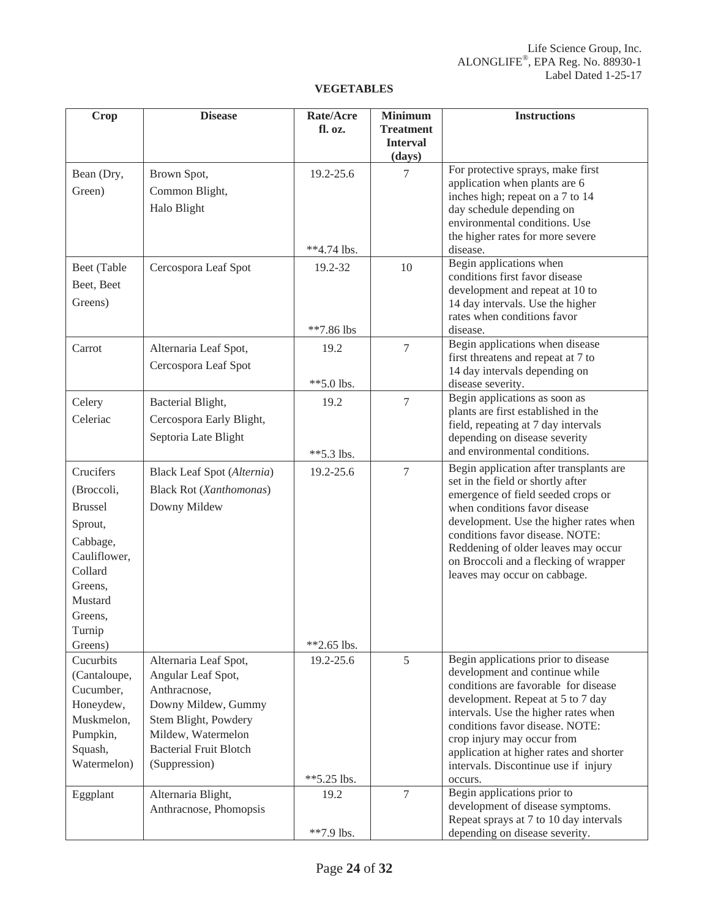## **VEGETABLES**

| <b>Crop</b>                                                                                                                                       | <b>Disease</b>                                                                                                                                                                                           | Rate/Acre<br>fl. oz.              | <b>Minimum</b><br><b>Treatment</b><br><b>Interval</b> | <b>Instructions</b>                                                                                                                                                                                                                                                                                                                                                                      |
|---------------------------------------------------------------------------------------------------------------------------------------------------|----------------------------------------------------------------------------------------------------------------------------------------------------------------------------------------------------------|-----------------------------------|-------------------------------------------------------|------------------------------------------------------------------------------------------------------------------------------------------------------------------------------------------------------------------------------------------------------------------------------------------------------------------------------------------------------------------------------------------|
|                                                                                                                                                   |                                                                                                                                                                                                          |                                   | (days)                                                |                                                                                                                                                                                                                                                                                                                                                                                          |
| Bean (Dry,<br>Green)                                                                                                                              | Brown Spot,<br>Common Blight,<br>Halo Blight                                                                                                                                                             | 19.2-25.6<br>**4.74 lbs.          | $\tau$                                                | For protective sprays, make first<br>application when plants are 6<br>inches high; repeat on a 7 to 14<br>day schedule depending on<br>environmental conditions. Use<br>the higher rates for more severe<br>disease.                                                                                                                                                                     |
| Beet (Table<br>Beet, Beet<br>Greens)                                                                                                              | Cercospora Leaf Spot                                                                                                                                                                                     | 19.2-32<br>**7.86 lbs             | 10                                                    | Begin applications when<br>conditions first favor disease<br>development and repeat at 10 to<br>14 day intervals. Use the higher<br>rates when conditions favor<br>disease.                                                                                                                                                                                                              |
| Carrot                                                                                                                                            | Alternaria Leaf Spot,<br>Cercospora Leaf Spot                                                                                                                                                            | 19.2<br>$**5.0$ lbs.              | 7                                                     | Begin applications when disease<br>first threatens and repeat at 7 to<br>14 day intervals depending on<br>disease severity.                                                                                                                                                                                                                                                              |
| Celery<br>Celeriac                                                                                                                                | Bacterial Blight,<br>Cercospora Early Blight,<br>Septoria Late Blight                                                                                                                                    | 19.2<br>$**5.3$ lbs.              | $\overline{7}$                                        | Begin applications as soon as<br>plants are first established in the<br>field, repeating at 7 day intervals<br>depending on disease severity<br>and environmental conditions.                                                                                                                                                                                                            |
| Crucifers<br>(Broccoli,<br><b>Brussel</b><br>Sprout,<br>Cabbage,<br>Cauliflower,<br>Collard<br>Greens,<br>Mustard<br>Greens,<br>Turnip<br>Greens) | <b>Black Leaf Spot (Alternia)</b><br><b>Black Rot (Xanthomonas)</b><br>Downy Mildew                                                                                                                      | 19.2-25.6<br>$*2.65$ lbs.         | $\overline{7}$                                        | Begin application after transplants are<br>set in the field or shortly after<br>emergence of field seeded crops or<br>when conditions favor disease<br>development. Use the higher rates when<br>conditions favor disease. NOTE:<br>Reddening of older leaves may occur<br>on Broccoli and a flecking of wrapper<br>leaves may occur on cabbage.                                         |
| Cucurbits<br>(Cantaloupe,<br>Cucumber,<br>Honeydew,<br>Muskmelon,<br>Pumpkin,<br>Squash,<br>Watermelon)<br>Eggplant                               | Alternaria Leaf Spot,<br>Angular Leaf Spot,<br>Anthracnose,<br>Downy Mildew, Gummy<br>Stem Blight, Powdery<br>Mildew, Watermelon<br><b>Bacterial Fruit Blotch</b><br>(Suppression)<br>Alternaria Blight, | 19.2-25.6<br>$*5.25$ lbs.<br>19.2 | 5<br>$\overline{7}$                                   | Begin applications prior to disease<br>development and continue while<br>conditions are favorable for disease<br>development. Repeat at 5 to 7 day<br>intervals. Use the higher rates when<br>conditions favor disease. NOTE:<br>crop injury may occur from<br>application at higher rates and shorter<br>intervals. Discontinue use if injury<br>occurs.<br>Begin applications prior to |
|                                                                                                                                                   | Anthracnose, Phomopsis                                                                                                                                                                                   | **7.9 lbs.                        |                                                       | development of disease symptoms.<br>Repeat sprays at 7 to 10 day intervals<br>depending on disease severity.                                                                                                                                                                                                                                                                             |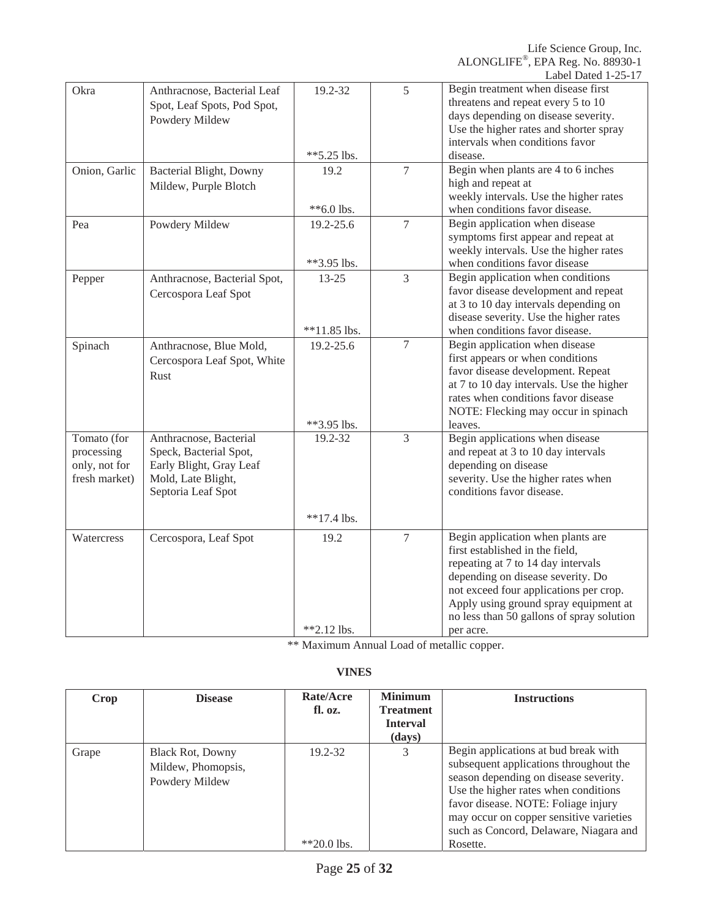| Okra                                                        | Anthracnose, Bacterial Leaf<br>Spot, Leaf Spots, Pod Spot,<br>Powdery Mildew                                            | 19.2-32<br>$**5.25$ lbs.                | 5              | Begin treatment when disease first<br>threatens and repeat every 5 to 10<br>days depending on disease severity.<br>Use the higher rates and shorter spray<br>intervals when conditions favor<br>disease.                                                                                     |
|-------------------------------------------------------------|-------------------------------------------------------------------------------------------------------------------------|-----------------------------------------|----------------|----------------------------------------------------------------------------------------------------------------------------------------------------------------------------------------------------------------------------------------------------------------------------------------------|
| Onion, Garlic                                               | Bacterial Blight, Downy<br>Mildew, Purple Blotch                                                                        | 19.2<br>**6.0 lbs.                      | $\tau$         | Begin when plants are 4 to 6 inches<br>high and repeat at<br>weekly intervals. Use the higher rates<br>when conditions favor disease.                                                                                                                                                        |
| Pea                                                         | Powdery Mildew                                                                                                          | 19.2-25.6<br>**3.95 lbs.                | $\overline{7}$ | Begin application when disease<br>symptoms first appear and repeat at<br>weekly intervals. Use the higher rates<br>when conditions favor disease                                                                                                                                             |
| Pepper                                                      | Anthracnose, Bacterial Spot,<br>Cercospora Leaf Spot                                                                    | $13 - 25$<br>$**11.85$ lbs.             | 3              | Begin application when conditions<br>favor disease development and repeat<br>at 3 to 10 day intervals depending on<br>disease severity. Use the higher rates<br>when conditions favor disease.                                                                                               |
| Spinach                                                     | Anthracnose, Blue Mold,<br>Cercospora Leaf Spot, White<br>Rust                                                          | 19.2-25.6                               | $\overline{7}$ | Begin application when disease<br>first appears or when conditions<br>favor disease development. Repeat<br>at 7 to 10 day intervals. Use the higher<br>rates when conditions favor disease<br>NOTE: Flecking may occur in spinach                                                            |
| Tomato (for<br>processing<br>only, not for<br>fresh market) | Anthracnose, Bacterial<br>Speck, Bacterial Spot,<br>Early Blight, Gray Leaf<br>Mold, Late Blight,<br>Septoria Leaf Spot | **3.95 lbs.<br>19.2-32<br>$**17.4$ lbs. | 3              | leaves.<br>Begin applications when disease<br>and repeat at 3 to 10 day intervals<br>depending on disease<br>severity. Use the higher rates when<br>conditions favor disease.                                                                                                                |
| Watercress                                                  | Cercospora, Leaf Spot                                                                                                   | 19.2<br>$*2.12$ lbs.                    | $\overline{7}$ | Begin application when plants are<br>first established in the field,<br>repeating at 7 to 14 day intervals<br>depending on disease severity. Do<br>not exceed four applications per crop.<br>Apply using ground spray equipment at<br>no less than 50 gallons of spray solution<br>per acre. |

\*\* Maximum Annual Load of metallic copper.

## **VINES**

| Crop  | <b>Disease</b>                                                  | Rate/Acre<br>fl. oz.     | <b>Minimum</b><br><b>Treatment</b><br><b>Interval</b><br>(days) | <b>Instructions</b>                                                                                                                                                                                                                                                                                     |
|-------|-----------------------------------------------------------------|--------------------------|-----------------------------------------------------------------|---------------------------------------------------------------------------------------------------------------------------------------------------------------------------------------------------------------------------------------------------------------------------------------------------------|
| Grape | <b>Black Rot, Downy</b><br>Mildew, Phomopsis,<br>Powdery Mildew | 19.2-32<br>$*$ 20.0 lbs. | 3                                                               | Begin applications at bud break with<br>subsequent applications throughout the<br>season depending on disease severity.<br>Use the higher rates when conditions<br>favor disease. NOTE: Foliage injury<br>may occur on copper sensitive varieties<br>such as Concord, Delaware, Niagara and<br>Rosette. |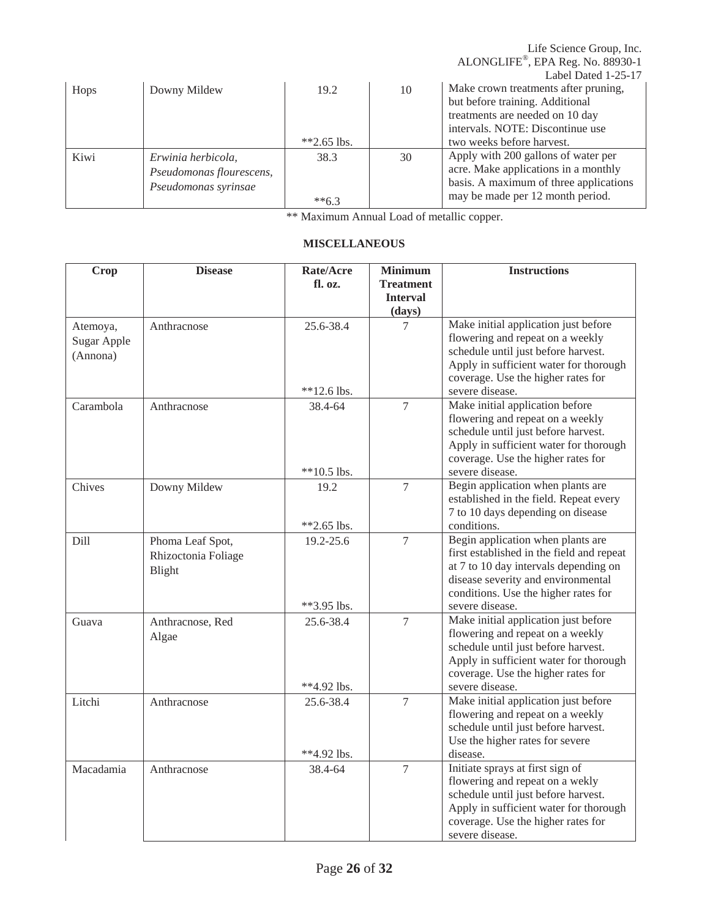|      |                                                                        |                      |    | Life Science Group, Inc.<br>ALONGLIFE®, EPA Reg. No. 88930-1<br>Label Dated 1-25-17                                                                                         |
|------|------------------------------------------------------------------------|----------------------|----|-----------------------------------------------------------------------------------------------------------------------------------------------------------------------------|
| Hops | Downy Mildew                                                           | 19.2<br>$*2.65$ lbs. | 10 | Make crown treatments after pruning,<br>but before training. Additional<br>treatments are needed on 10 day<br>intervals. NOTE: Discontinue use<br>two weeks before harvest. |
| Kiwi | Erwinia herbicola,<br>Pseudomonas flourescens,<br>Pseudomonas syrinsae | 38.3<br>$**6.3$      | 30 | Apply with 200 gallons of water per<br>acre. Make applications in a monthly<br>basis. A maximum of three applications<br>may be made per 12 month period.                   |

\*\* Maximum Annual Load of metallic copper.

| <b>Crop</b>                                | <b>Disease</b>                                    | Rate/Acre<br>fl. oz.       | <b>Minimum</b><br><b>Treatment</b><br><b>Interval</b><br>(days) | <b>Instructions</b>                                                                                                                                                                                                      |
|--------------------------------------------|---------------------------------------------------|----------------------------|-----------------------------------------------------------------|--------------------------------------------------------------------------------------------------------------------------------------------------------------------------------------------------------------------------|
| Atemoya,<br><b>Sugar Apple</b><br>(Annona) | Anthracnose                                       | 25.6-38.4<br>$**12.6$ lbs. | 7                                                               | Make initial application just before<br>flowering and repeat on a weekly<br>schedule until just before harvest.<br>Apply in sufficient water for thorough<br>coverage. Use the higher rates for<br>severe disease.       |
| Carambola                                  | Anthracnose                                       | 38.4-64<br>$**10.5$ lbs.   | 7                                                               | Make initial application before<br>flowering and repeat on a weekly<br>schedule until just before harvest.<br>Apply in sufficient water for thorough<br>coverage. Use the higher rates for<br>severe disease.            |
| Chives                                     | Downy Mildew                                      | 19.2<br>$*2.65$ lbs.       | $\overline{7}$                                                  | Begin application when plants are<br>established in the field. Repeat every<br>7 to 10 days depending on disease<br>conditions.                                                                                          |
| Dill                                       | Phoma Leaf Spot,<br>Rhizoctonia Foliage<br>Blight | 19.2-25.6<br>**3.95 lbs.   | $\tau$                                                          | Begin application when plants are<br>first established in the field and repeat<br>at 7 to 10 day intervals depending on<br>disease severity and environmental<br>conditions. Use the higher rates for<br>severe disease. |
| Guava                                      | Anthracnose, Red<br>Algae                         | 25.6-38.4<br>**4.92 lbs.   | $\overline{7}$                                                  | Make initial application just before<br>flowering and repeat on a weekly<br>schedule until just before harvest.<br>Apply in sufficient water for thorough<br>coverage. Use the higher rates for<br>severe disease.       |
| Litchi                                     | Anthracnose                                       | 25.6-38.4<br>$**4.92$ lbs. | $\tau$                                                          | Make initial application just before<br>flowering and repeat on a weekly<br>schedule until just before harvest.<br>Use the higher rates for severe<br>disease.                                                           |
| Macadamia                                  | Anthracnose                                       | 38.4-64                    | $\overline{7}$                                                  | Initiate sprays at first sign of<br>flowering and repeat on a wekly<br>schedule until just before harvest.<br>Apply in sufficient water for thorough<br>coverage. Use the higher rates for<br>severe disease.            |

## **MISCELLANEOUS**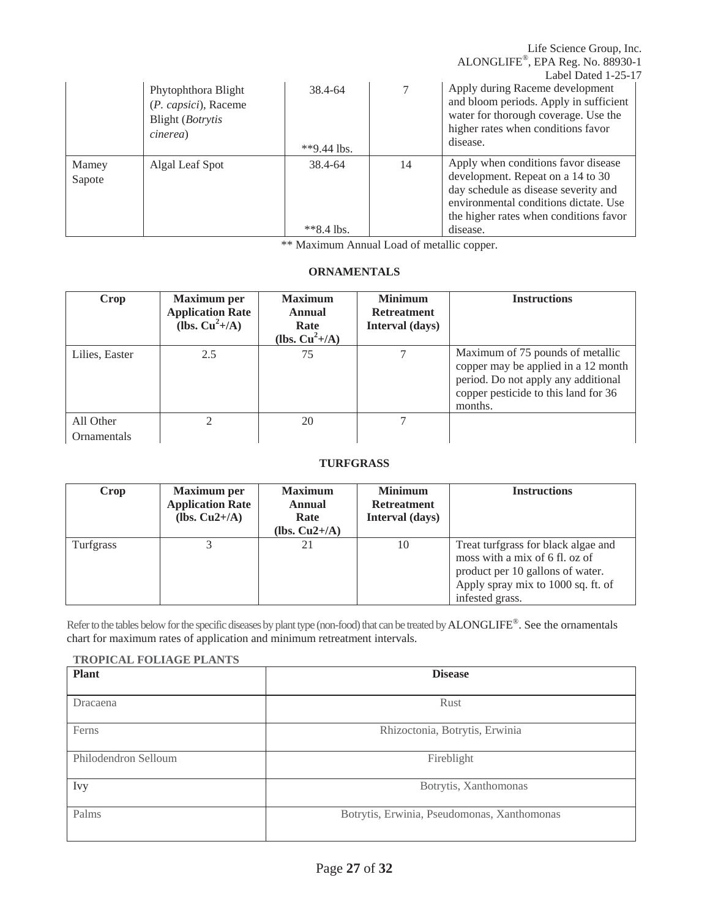ALONGLIFE®, EPA Reg. No. 88930-1 Label Dated 1-25-17 Phytophthora Blight 38.4-64 7 Apply during Raceme development and bloom periods. Apply in sufficient water for thorough coverage. Use the higher rates when conditions favor disease. (*P. capsici*), Raceme Blight (*Botrytis cinerea*) \*\*9.44 lbs. Mamey Algal Leaf Spot 38.4-64 14 Apply when conditions favor disease development. Repeat on a 14 to 30 day schedule as disease severity and environmental conditions dictate. Use the higher rates when conditions favor disease. Sapote \*\*8.4 lbs.

\*\* Maximum Annual Load of metallic copper.

Life Science Group, Inc.

## **ORNAMENTALS**

| Crop                     | <b>Maximum</b> per<br><b>Application Rate</b><br>(lbs. $Cu^2+/A$ ) | <b>Maximum</b><br>Annual<br>Rate<br>(lbs. $Cu^2+/A$ ) | <b>Minimum</b><br><b>Retreatment</b><br><b>Interval</b> (days) | <b>Instructions</b>                                                                                                                                               |
|--------------------------|--------------------------------------------------------------------|-------------------------------------------------------|----------------------------------------------------------------|-------------------------------------------------------------------------------------------------------------------------------------------------------------------|
| Lilies, Easter           | 2.5                                                                | 75                                                    | 7                                                              | Maximum of 75 pounds of metallic<br>copper may be applied in a 12 month<br>period. Do not apply any additional<br>copper pesticide to this land for 36<br>months. |
| All Other<br>Ornamentals |                                                                    | 20                                                    | 7                                                              |                                                                                                                                                                   |

## **TURFGRASS**

| Crop      | <b>Maximum</b> per<br><b>Application Rate</b><br>(lbs. $Cu2+/A$ ) | <b>Maximum</b><br><b>Annual</b><br>Rate<br>(lbs. $Cu2+/A$ ) | <b>Minimum</b><br><b>Retreatment</b><br>Interval (days) | <b>Instructions</b>                                                                                                                                                |
|-----------|-------------------------------------------------------------------|-------------------------------------------------------------|---------------------------------------------------------|--------------------------------------------------------------------------------------------------------------------------------------------------------------------|
| Turfgrass |                                                                   |                                                             | 10                                                      | Treat turfgrass for black algae and<br>moss with a mix of 6 fl. oz of<br>product per 10 gallons of water.<br>Apply spray mix to 1000 sq. ft. of<br>infested grass. |

Refer to the tables below for the specific diseases by plant type (non-food) that can be treated by ALONGLIFE®. See the ornamentals chart for maximum rates of application and minimum retreatment intervals.

#### **TROPICAL FOLIAGE PLANTS**

| <b>Plant</b>         | <b>Disease</b>                              |  |  |
|----------------------|---------------------------------------------|--|--|
| Dracaena             | Rust                                        |  |  |
| Ferns                | Rhizoctonia, Botrytis, Erwinia              |  |  |
| Philodendron Selloum | Fireblight                                  |  |  |
| Ivy                  | Botrytis, Xanthomonas                       |  |  |
| Palms                | Botrytis, Erwinia, Pseudomonas, Xanthomonas |  |  |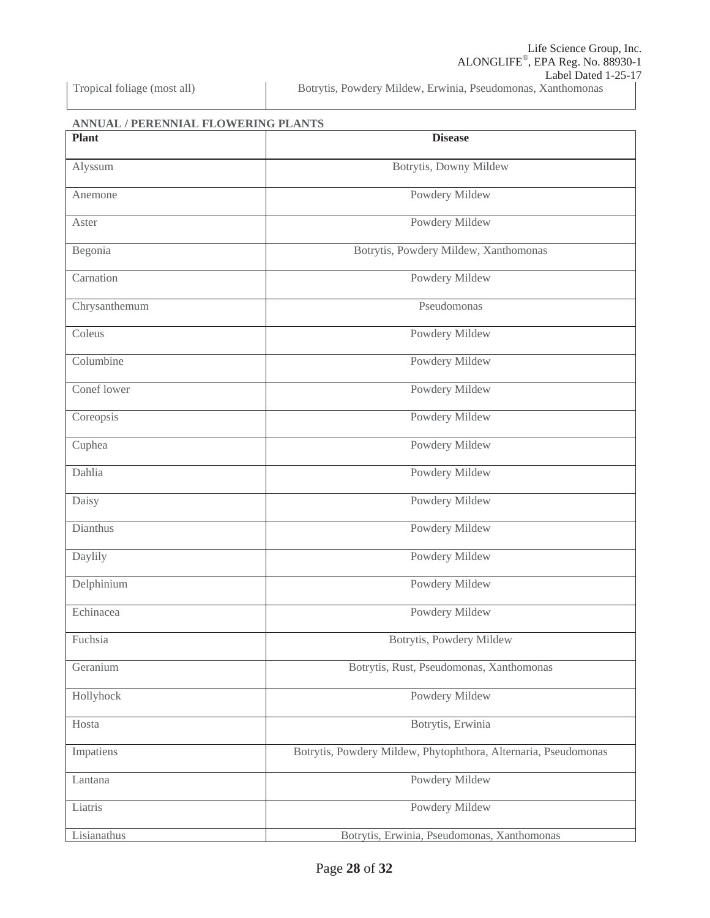**ANNUAL / PERENNIAL FLOWERING PLANTS** 

| <b>Plant</b>  | <b>Disease</b>                                                  |  |
|---------------|-----------------------------------------------------------------|--|
| Alyssum       | Botrytis, Downy Mildew                                          |  |
| Anemone       | Powdery Mildew                                                  |  |
| Aster         | Powdery Mildew                                                  |  |
| Begonia       | Botrytis, Powdery Mildew, Xanthomonas                           |  |
| Carnation     | Powdery Mildew                                                  |  |
| Chrysanthemum | Pseudomonas                                                     |  |
| Coleus        | Powdery Mildew                                                  |  |
| Columbine     | Powdery Mildew                                                  |  |
| Conef lower   | Powdery Mildew                                                  |  |
| Coreopsis     | Powdery Mildew                                                  |  |
| Cuphea        | Powdery Mildew                                                  |  |
| Dahlia        | Powdery Mildew                                                  |  |
| Daisy         | Powdery Mildew                                                  |  |
| Dianthus      | Powdery Mildew                                                  |  |
| Daylily       | Powdery Mildew                                                  |  |
| Delphinium    | Powdery Mildew                                                  |  |
| Echinacea     | Powdery Mildew                                                  |  |
| Fuchsia       | Botrytis, Powdery Mildew                                        |  |
| Geranium      | Botrytis, Rust, Pseudomonas, Xanthomonas                        |  |
| Hollyhock     | Powdery Mildew                                                  |  |
| Hosta         | Botrytis, Erwinia                                               |  |
| Impatiens     | Botrytis, Powdery Mildew, Phytophthora, Alternaria, Pseudomonas |  |
| Lantana       | Powdery Mildew                                                  |  |
| Liatris       | Powdery Mildew                                                  |  |
| Lisianathus   | Botrytis, Erwinia, Pseudomonas, Xanthomonas                     |  |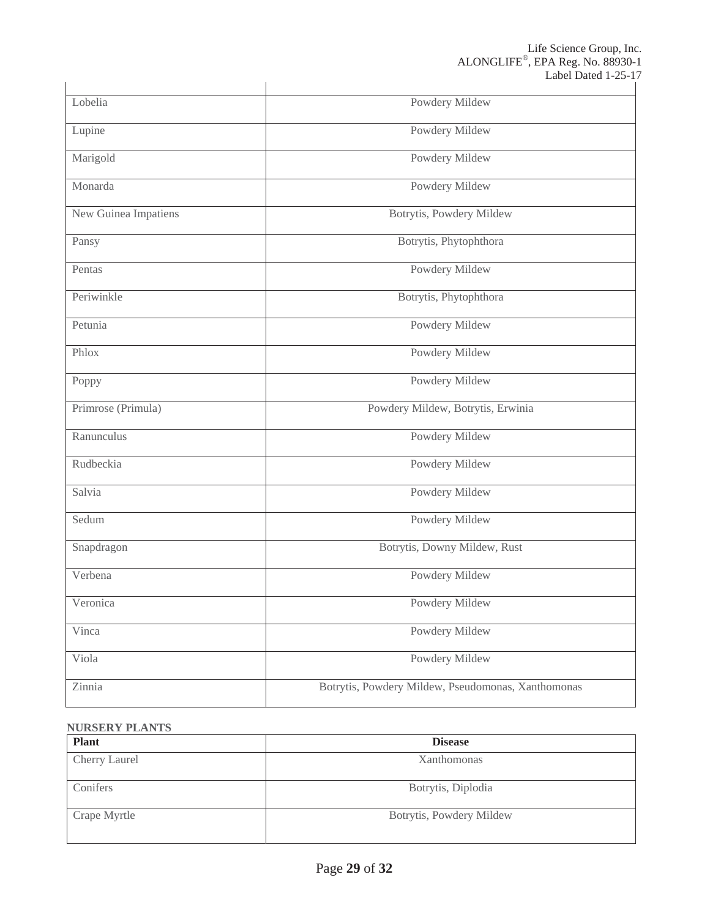|                      | Label Dawy 1-29-1                                  |
|----------------------|----------------------------------------------------|
| Lobelia              | Powdery Mildew                                     |
| Lupine               | Powdery Mildew                                     |
| Marigold             | Powdery Mildew                                     |
| Monarda              | Powdery Mildew                                     |
| New Guinea Impatiens | Botrytis, Powdery Mildew                           |
| Pansy                | Botrytis, Phytophthora                             |
| Pentas               | Powdery Mildew                                     |
| Periwinkle           | Botrytis, Phytophthora                             |
| Petunia              | Powdery Mildew                                     |
| Phlox                | Powdery Mildew                                     |
| Poppy                | Powdery Mildew                                     |
| Primrose (Primula)   | Powdery Mildew, Botrytis, Erwinia                  |
| Ranunculus           | Powdery Mildew                                     |
| Rudbeckia            | Powdery Mildew                                     |
| Salvia               | Powdery Mildew                                     |
| Sedum                | Powdery Mildew                                     |
| Snapdragon           | Botrytis, Downy Mildew, Rust                       |
| Verbena              | Powdery Mildew                                     |
| Veronica             | Powdery Mildew                                     |
| Vinca                | Powdery Mildew                                     |
| Viola                | Powdery Mildew                                     |
| Zinnia               | Botrytis, Powdery Mildew, Pseudomonas, Xanthomonas |
|                      |                                                    |

## **NURSERY PLANTS**

| <b>Plant</b>  | <b>Disease</b>           |
|---------------|--------------------------|
| Cherry Laurel | Xanthomonas              |
| Conifers      | Botrytis, Diplodia       |
| Crape Myrtle  | Botrytis, Powdery Mildew |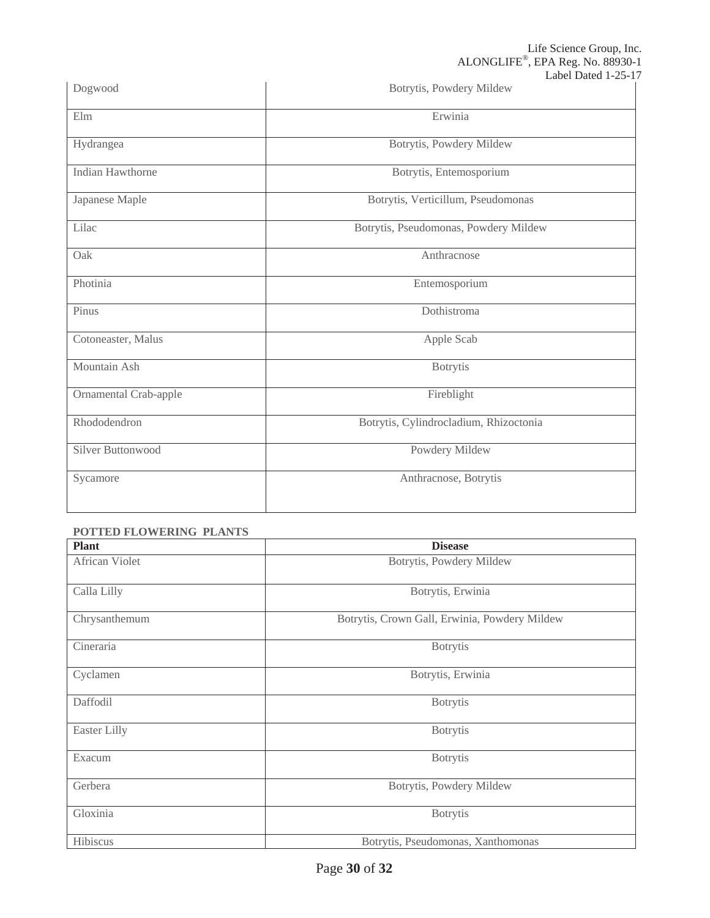| Dogwood                             | Label Dawy $1-2J-1$<br>Botrytis, Powdery Mildew |
|-------------------------------------|-------------------------------------------------|
| Elm                                 | Erwinia                                         |
| Hydrangea                           | Botrytis, Powdery Mildew                        |
| Indian Hawthorne                    | Botrytis, Entemosporium                         |
| Japanese Maple                      | Botrytis, Verticillum, Pseudomonas              |
| Lilac                               | Botrytis, Pseudomonas, Powdery Mildew           |
| Oak                                 | Anthracnose                                     |
| Photinia                            | Entemosporium                                   |
| Pinus                               | Dothistroma                                     |
| Cotoneaster, Malus                  | Apple Scab                                      |
| Mountain Ash                        | <b>Botrytis</b>                                 |
| Ornamental Crab-apple               | Fireblight                                      |
| Rhododendron                        | Botrytis, Cylindrocladium, Rhizoctonia          |
| Silver Buttonwood<br>Powdery Mildew |                                                 |
| Sycamore                            | Anthracnose, Botrytis                           |
|                                     |                                                 |

## **POTTED FLOWERING PLANTS**

| <b>Plant</b><br><b>Disease</b> |                                               |  |
|--------------------------------|-----------------------------------------------|--|
| African Violet                 | Botrytis, Powdery Mildew                      |  |
| Calla Lilly                    | Botrytis, Erwinia                             |  |
| Chrysanthemum                  | Botrytis, Crown Gall, Erwinia, Powdery Mildew |  |
| Cineraria                      | <b>Botrytis</b>                               |  |
| Cyclamen                       | Botrytis, Erwinia                             |  |
| Daffodil                       | <b>Botrytis</b>                               |  |
| Easter Lilly                   | <b>Botrytis</b>                               |  |
| Exacum                         | <b>Botrytis</b>                               |  |
| Gerbera                        | Botrytis, Powdery Mildew                      |  |
| Gloxinia                       | <b>Botrytis</b>                               |  |
| Hibiscus                       | Botrytis, Pseudomonas, Xanthomonas            |  |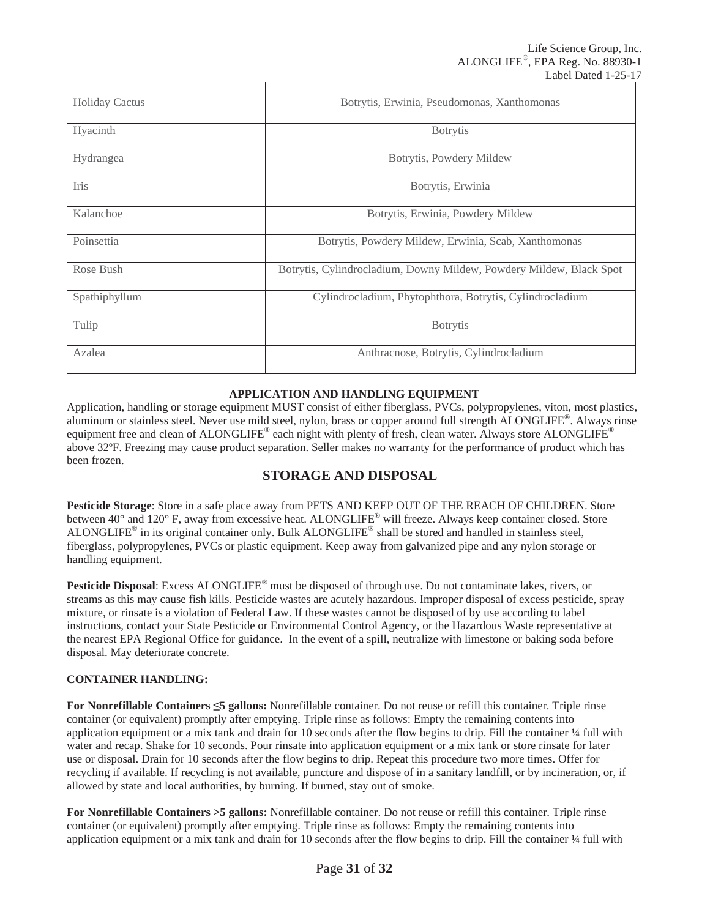| <b>Holiday Cactus</b> | Botrytis, Erwinia, Pseudomonas, Xanthomonas                         |
|-----------------------|---------------------------------------------------------------------|
| Hyacinth              | <b>B</b> otrytis                                                    |
| Hydrangea             | Botrytis, Powdery Mildew                                            |
| <b>Iris</b>           | Botrytis, Erwinia                                                   |
| Kalanchoe             | Botrytis, Erwinia, Powdery Mildew                                   |
| Poinsettia            | Botrytis, Powdery Mildew, Erwinia, Scab, Xanthomonas                |
| Rose Bush             | Botrytis, Cylindrocladium, Downy Mildew, Powdery Mildew, Black Spot |
| Spathiphyllum         | Cylindrocladium, Phytophthora, Botrytis, Cylindrocladium            |
| Tulip                 | <b>Botrytis</b>                                                     |
| Azalea                | Anthracnose, Botrytis, Cylindrocladium                              |

 $\mathbf{I}$ 

## **APPLICATION AND HANDLING EQUIPMENT**

Application, handling or storage equipment MUST consist of either fiberglass, PVCs, polypropylenes, viton, most plastics, aluminum or stainless steel. Never use mild steel, nylon, brass or copper around full strength ALONGLIFE®. Always rinse equipment free and clean of ALONGLIFE® each night with plenty of fresh, clean water. Always store ALONGLIFE® above 32ºF. Freezing may cause product separation. Seller makes no warranty for the performance of product which has been frozen.

## **STORAGE AND DISPOSAL**

**Pesticide Storage**: Store in a safe place away from PETS AND KEEP OUT OF THE REACH OF CHILDREN. Store between 40° and 120° F, away from excessive heat. ALONGLIFE<sup>®</sup> will freeze. Always keep container closed. Store ALONGLIFE® in its original container only. Bulk ALONGLIFE® shall be stored and handled in stainless steel, fiberglass, polypropylenes, PVCs or plastic equipment. Keep away from galvanized pipe and any nylon storage or handling equipment.

**Pesticide Disposal**: Excess ALONGLIFE® must be disposed of through use. Do not contaminate lakes, rivers, or streams as this may cause fish kills. Pesticide wastes are acutely hazardous. Improper disposal of excess pesticide, spray mixture, or rinsate is a violation of Federal Law. If these wastes cannot be disposed of by use according to label instructions, contact your State Pesticide or Environmental Control Agency, or the Hazardous Waste representative at the nearest EPA Regional Office for guidance. In the event of a spill, neutralize with limestone or baking soda before disposal. May deteriorate concrete.

## **CONTAINER HANDLING:**

**For Nonrefillable Containers 5 gallons:** Nonrefillable container. Do not reuse or refill this container. Triple rinse container (or equivalent) promptly after emptying. Triple rinse as follows: Empty the remaining contents into application equipment or a mix tank and drain for  $10$  seconds after the flow begins to drip. Fill the container  $\frac{1}{4}$  full with water and recap. Shake for 10 seconds. Pour rinsate into application equipment or a mix tank or store rinsate for later use or disposal. Drain for 10 seconds after the flow begins to drip. Repeat this procedure two more times. Offer for recycling if available. If recycling is not available, puncture and dispose of in a sanitary landfill, or by incineration, or, if allowed by state and local authorities, by burning. If burned, stay out of smoke.

**For Nonrefillable Containers >5 gallons:** Nonrefillable container. Do not reuse or refill this container. Triple rinse container (or equivalent) promptly after emptying. Triple rinse as follows: Empty the remaining contents into application equipment or a mix tank and drain for  $10$  seconds after the flow begins to drip. Fill the container  $\frac{1}{4}$  full with